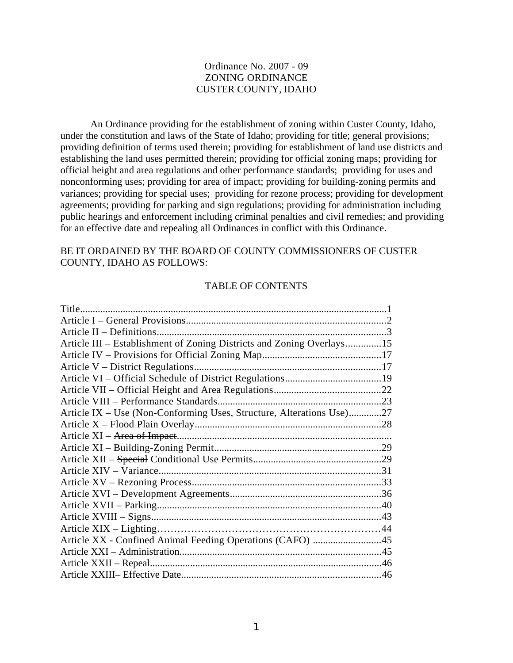### Ordinance No. 2007 - 09 ZONING ORDINANCE CUSTER COUNTY, IDAHO

An Ordinance providing for the establishment of zoning within Custer County, Idaho, under the constitution and laws of the State of Idaho; providing for title; general provisions; providing definition of terms used therein; providing for establishment of land use districts and establishing the land uses permitted therein; providing for official zoning maps; providing for official height and area regulations and other performance standards; providing for uses and nonconforming uses; providing for area of impact; providing for building-zoning permits and variances; providing for special uses; providing for rezone process; providing for development agreements; providing for parking and sign regulations; providing for administration including public hearings and enforcement including criminal penalties and civil remedies; and providing for an effective date and repealing all Ordinances in conflict with this Ordinance.

BE IT ORDAINED BY THE BOARD OF COUNTY COMMISSIONERS OF CUSTER COUNTY, IDAHO AS FOLLOWS:

#### TABLE OF CONTENTS

| Article III - Establishment of Zoning Districts and Zoning Overlays15 |  |
|-----------------------------------------------------------------------|--|
|                                                                       |  |
|                                                                       |  |
|                                                                       |  |
|                                                                       |  |
|                                                                       |  |
| Article IX – Use (Non-Conforming Uses, Structure, Alterations Use)27  |  |
|                                                                       |  |
|                                                                       |  |
|                                                                       |  |
|                                                                       |  |
|                                                                       |  |
|                                                                       |  |
|                                                                       |  |
|                                                                       |  |
|                                                                       |  |
|                                                                       |  |
| Article XX - Confined Animal Feeding Operations (CAFO) 45             |  |
|                                                                       |  |
|                                                                       |  |
|                                                                       |  |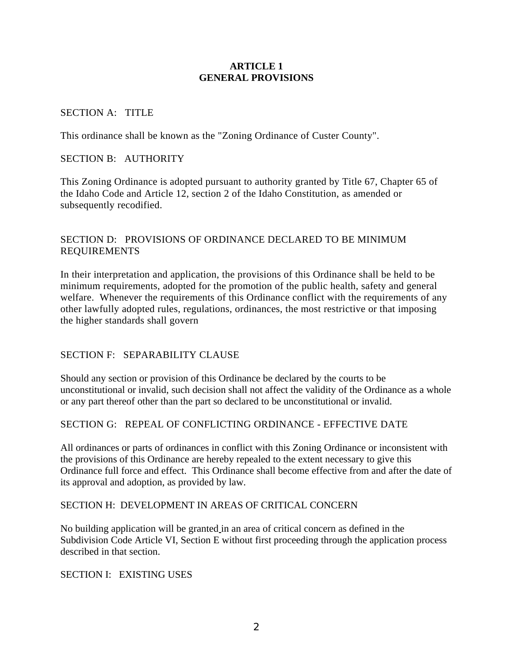#### **ARTICLE 1 GENERAL PROVISIONS**

## SECTION A: TITLE

This ordinance shall be known as the "Zoning Ordinance of Custer County".

#### SECTION B: AUTHORITY

This Zoning Ordinance is adopted pursuant to authority granted by Title 67, Chapter 65 of the Idaho Code and Article 12, section 2 of the Idaho Constitution, as amended or subsequently recodified.

## SECTION D: PROVISIONS OF ORDINANCE DECLARED TO BE MINIMUM REQUIREMENTS

In their interpretation and application, the provisions of this Ordinance shall be held to be minimum requirements, adopted for the promotion of the public health, safety and general welfare. Whenever the requirements of this Ordinance conflict with the requirements of any other lawfully adopted rules, regulations, ordinances, the most restrictive or that imposing the higher standards shall govern

## SECTION F: SEPARABILITY CLAUSE

Should any section or provision of this Ordinance be declared by the courts to be unconstitutional or invalid, such decision shall not affect the validity of the Ordinance as a whole or any part thereof other than the part so declared to be unconstitutional or invalid.

#### SECTION G: REPEAL OF CONFLICTING ORDINANCE - EFFECTIVE DATE

All ordinances or parts of ordinances in conflict with this Zoning Ordinance or inconsistent with the provisions of this Ordinance are hereby repealed to the extent necessary to give this Ordinance full force and effect. This Ordinance shall become effective from and after the date of its approval and adoption, as provided by law.

#### SECTION H: DEVELOPMENT IN AREAS OF CRITICAL CONCERN

No building application will be granted in an area of critical concern as defined in the Subdivision Code Article VI, Section E without first proceeding through the application process described in that section.

SECTION I: EXISTING USES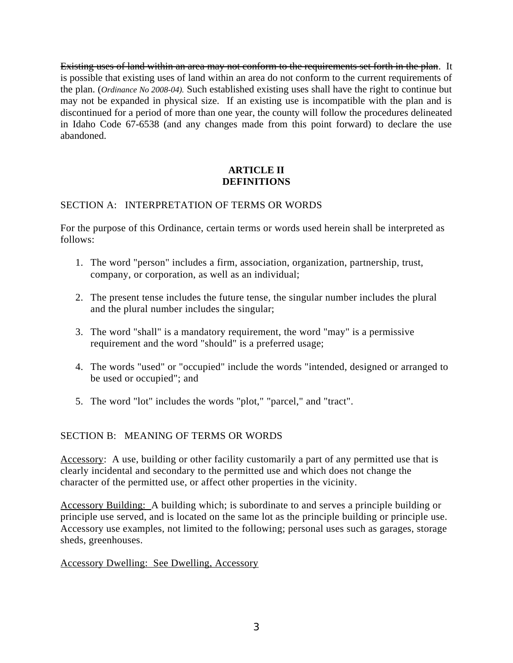Existing uses of land within an area may not conform to the requirements set forth in the plan. It is possible that existing uses of land within an area do not conform to the current requirements of the plan. (*Ordinance No 2008-04).* Such established existing uses shall have the right to continue but may not be expanded in physical size. If an existing use is incompatible with the plan and is discontinued for a period of more than one year, the county will follow the procedures delineated in Idaho Code 67-6538 (and any changes made from this point forward) to declare the use abandoned.

## **ARTICLE II DEFINITIONS**

## SECTION A: INTERPRETATION OF TERMS OR WORDS

For the purpose of this Ordinance, certain terms or words used herein shall be interpreted as follows:

- 1. The word "person" includes a firm, association, organization, partnership, trust, company, or corporation, as well as an individual;
- 2. The present tense includes the future tense, the singular number includes the plural and the plural number includes the singular;
- 3. The word "shall" is a mandatory requirement, the word "may" is a permissive requirement and the word "should" is a preferred usage;
- 4. The words "used" or "occupied" include the words "intended, designed or arranged to be used or occupied"; and
- 5. The word "lot" includes the words "plot," "parcel," and "tract".

## SECTION B: MEANING OF TERMS OR WORDS

Accessory: A use, building or other facility customarily a part of any permitted use that is clearly incidental and secondary to the permitted use and which does not change the character of the permitted use, or affect other properties in the vicinity.

Accessory Building: A building which; is subordinate to and serves a principle building or principle use served, and is located on the same lot as the principle building or principle use. Accessory use examples, not limited to the following; personal uses such as garages, storage sheds, greenhouses.

## Accessory Dwelling: See Dwelling, Accessory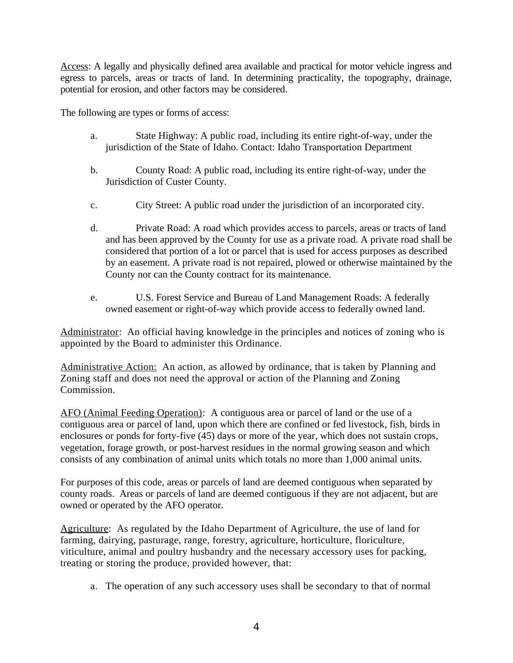Access: A legally and physically defined area available and practical for motor vehicle ingress and egress to parcels, areas or tracts of land. In determining practicality, the topography, drainage, potential for erosion, and other factors may be considered.

The following are types or forms of access:

- a. State Highway: A public road, including its entire right-of-way, under the jurisdiction of the State of Idaho. Contact: Idaho Transportation Department
- b. County Road: A public road, including its entire right-of-way, under the Jurisdiction of Custer County.
- c. City Street: A public road under the jurisdiction of an incorporated city.
- d. Private Road: A road which provides access to parcels, areas or tracts of land and has been approved by the County for use as a private road. A private road shall be considered that portion of a lot or parcel that is used for access purposes as described by an easement. A private road is not repaired, plowed or otherwise maintained by the County nor can the County contract for its maintenance.
- e. U.S. Forest Service and Bureau of Land Management Roads: A federally owned easement or right-of-way which provide access to federally owned land.

Administrator: An official having knowledge in the principles and notices of zoning who is appointed by the Board to administer this Ordinance.

Administrative Action: An action, as allowed by ordinance, that is taken by Planning and Zoning staff and does not need the approval or action of the Planning and Zoning Commission.

AFO (Animal Feeding Operation): A contiguous area or parcel of land or the use of a contiguous area or parcel of land, upon which there are confined or fed livestock, fish, birds in enclosures or ponds for forty-five (45) days or more of the year, which does not sustain crops, vegetation, forage growth, or post-harvest residues in the normal growing season and which consists of any combination of animal units which totals no more than 1,000 animal units.

For purposes of this code, areas or parcels of land are deemed contiguous when separated by county roads. Areas or parcels of land are deemed contiguous if they are not adjacent, but are owned or operated by the AFO operator.

Agriculture: As regulated by the Idaho Department of Agriculture, the use of land for farming, dairying, pasturage, range, forestry, agriculture, horticulture, floriculture, viticulture, animal and poultry husbandry and the necessary accessory uses for packing, treating or storing the produce, provided however, that:

a. The operation of any such accessory uses shall be secondary to that of normal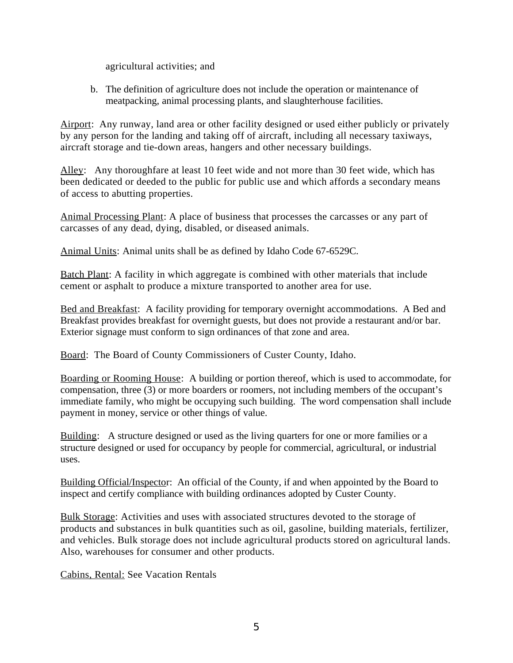agricultural activities; and

b. The definition of agriculture does not include the operation or maintenance of meatpacking, animal processing plants, and slaughterhouse facilities.

Airport: Any runway, land area or other facility designed or used either publicly or privately by any person for the landing and taking off of aircraft, including all necessary taxiways, aircraft storage and tie-down areas, hangers and other necessary buildings.

Alley: Any thoroughfare at least 10 feet wide and not more than 30 feet wide, which has been dedicated or deeded to the public for public use and which affords a secondary means of access to abutting properties.

Animal Processing Plant: A place of business that processes the carcasses or any part of carcasses of any dead, dying, disabled, or diseased animals.

Animal Units: Animal units shall be as defined by Idaho Code 67-6529C.

Batch Plant: A facility in which aggregate is combined with other materials that include cement or asphalt to produce a mixture transported to another area for use.

Bed and Breakfast: A facility providing for temporary overnight accommodations. A Bed and Breakfast provides breakfast for overnight guests, but does not provide a restaurant and/or bar. Exterior signage must conform to sign ordinances of that zone and area.

Board: The Board of County Commissioners of Custer County, Idaho.

Boarding or Rooming House: A building or portion thereof, which is used to accommodate, for compensation, three (3) or more boarders or roomers, not including members of the occupant's immediate family, who might be occupying such building. The word compensation shall include payment in money, service or other things of value.

Building: A structure designed or used as the living quarters for one or more families or a structure designed or used for occupancy by people for commercial, agricultural, or industrial uses.

Building Official/Inspector: An official of the County, if and when appointed by the Board to inspect and certify compliance with building ordinances adopted by Custer County.

Bulk Storage: Activities and uses with associated structures devoted to the storage of products and substances in bulk quantities such as oil, gasoline, building materials, fertilizer, and vehicles. Bulk storage does not include agricultural products stored on agricultural lands. Also, warehouses for consumer and other products.

Cabins, Rental: See Vacation Rentals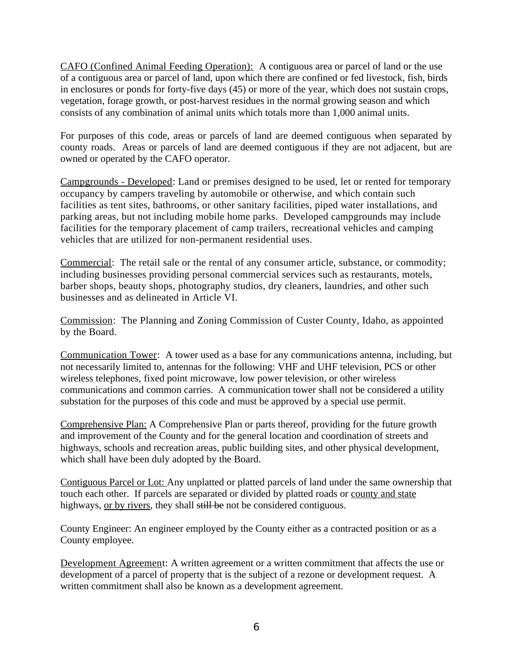CAFO (Confined Animal Feeding Operation): A contiguous area or parcel of land or the use of a contiguous area or parcel of land, upon which there are confined or fed livestock, fish, birds in enclosures or ponds for forty-five days (45) or more of the year, which does not sustain crops, vegetation, forage growth, or post-harvest residues in the normal growing season and which consists of any combination of animal units which totals more than 1,000 animal units.

For purposes of this code, areas or parcels of land are deemed contiguous when separated by county roads. Areas or parcels of land are deemed contiguous if they are not adjacent, but are owned or operated by the CAFO operator.

Campgrounds - Developed: Land or premises designed to be used, let or rented for temporary occupancy by campers traveling by automobile or otherwise, and which contain such facilities as tent sites, bathrooms, or other sanitary facilities, piped water installations, and parking areas, but not including mobile home parks. Developed campgrounds may include facilities for the temporary placement of camp trailers, recreational vehicles and camping vehicles that are utilized for non-permanent residential uses.

Commercial: The retail sale or the rental of any consumer article, substance, or commodity; including businesses providing personal commercial services such as restaurants, motels, barber shops, beauty shops, photography studios, dry cleaners, laundries, and other such businesses and as delineated in Article VI.

Commission: The Planning and Zoning Commission of Custer County, Idaho, as appointed by the Board.

Communication Tower: A tower used as a base for any communications antenna, including, but not necessarily limited to, antennas for the following: VHF and UHF television, PCS or other wireless telephones, fixed point microwave, low power television, or other wireless communications and common carries. A communication tower shall not be considered a utility substation for the purposes of this code and must be approved by a special use permit.

Comprehensive Plan: A Comprehensive Plan or parts thereof, providing for the future growth and improvement of the County and for the general location and coordination of streets and highways, schools and recreation areas, public building sites, and other physical development, which shall have been duly adopted by the Board.

Contiguous Parcel or Lot: Any unplatted or platted parcels of land under the same ownership that touch each other. If parcels are separated or divided by platted roads or county and state highways, or by rivers, they shall still be not be considered contiguous.

County Engineer: An engineer employed by the County either as a contracted position or as a County employee.

Development Agreement: A written agreement or a written commitment that affects the use or development of a parcel of property that is the subject of a rezone or development request. A written commitment shall also be known as a development agreement.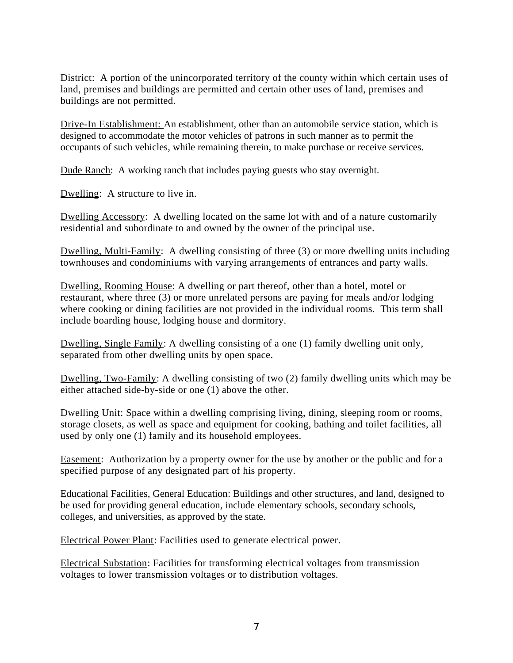District: A portion of the unincorporated territory of the county within which certain uses of land, premises and buildings are permitted and certain other uses of land, premises and buildings are not permitted.

Drive-In Establishment: An establishment, other than an automobile service station, which is designed to accommodate the motor vehicles of patrons in such manner as to permit the occupants of such vehicles, while remaining therein, to make purchase or receive services.

Dude Ranch: A working ranch that includes paying guests who stay overnight.

Dwelling: A structure to live in.

Dwelling Accessory: A dwelling located on the same lot with and of a nature customarily residential and subordinate to and owned by the owner of the principal use.

Dwelling, Multi-Family: A dwelling consisting of three (3) or more dwelling units including townhouses and condominiums with varying arrangements of entrances and party walls.

Dwelling, Rooming House: A dwelling or part thereof, other than a hotel, motel or restaurant, where three (3) or more unrelated persons are paying for meals and/or lodging where cooking or dining facilities are not provided in the individual rooms. This term shall include boarding house, lodging house and dormitory.

Dwelling, Single Family: A dwelling consisting of a one (1) family dwelling unit only, separated from other dwelling units by open space.

Dwelling, Two-Family: A dwelling consisting of two (2) family dwelling units which may be either attached side-by-side or one (1) above the other.

Dwelling Unit: Space within a dwelling comprising living, dining, sleeping room or rooms, storage closets, as well as space and equipment for cooking, bathing and toilet facilities, all used by only one (1) family and its household employees.

Easement: Authorization by a property owner for the use by another or the public and for a specified purpose of any designated part of his property.

Educational Facilities, General Education: Buildings and other structures, and land, designed to be used for providing general education, include elementary schools, secondary schools, colleges, and universities, as approved by the state.

Electrical Power Plant: Facilities used to generate electrical power.

Electrical Substation: Facilities for transforming electrical voltages from transmission voltages to lower transmission voltages or to distribution voltages.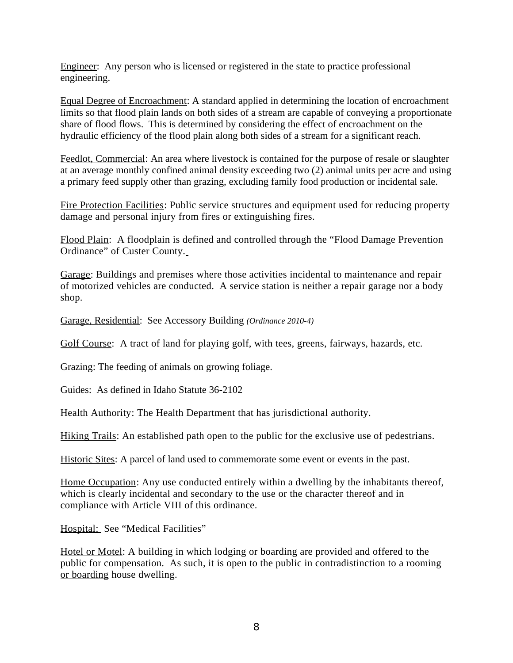Engineer: Any person who is licensed or registered in the state to practice professional engineering.

Equal Degree of Encroachment: A standard applied in determining the location of encroachment limits so that flood plain lands on both sides of a stream are capable of conveying a proportionate share of flood flows. This is determined by considering the effect of encroachment on the hydraulic efficiency of the flood plain along both sides of a stream for a significant reach.

Feedlot, Commercial: An area where livestock is contained for the purpose of resale or slaughter at an average monthly confined animal density exceeding two (2) animal units per acre and using a primary feed supply other than grazing, excluding family food production or incidental sale.

Fire Protection Facilities: Public service structures and equipment used for reducing property damage and personal injury from fires or extinguishing fires.

Flood Plain: A floodplain is defined and controlled through the "Flood Damage Prevention Ordinance" of Custer County.

Garage: Buildings and premises where those activities incidental to maintenance and repair of motorized vehicles are conducted. A service station is neither a repair garage nor a body shop.

Garage, Residential: See Accessory Building *(Ordinance 2010-4)*

Golf Course: A tract of land for playing golf, with tees, greens, fairways, hazards, etc.

Grazing: The feeding of animals on growing foliage.

Guides: As defined in Idaho Statute 36-2102

Health Authority: The Health Department that has jurisdictional authority.

Hiking Trails: An established path open to the public for the exclusive use of pedestrians.

Historic Sites: A parcel of land used to commemorate some event or events in the past.

Home Occupation: Any use conducted entirely within a dwelling by the inhabitants thereof, which is clearly incidental and secondary to the use or the character thereof and in compliance with Article VIII of this ordinance.

Hospital: See "Medical Facilities"

Hotel or Motel: A building in which lodging or boarding are provided and offered to the public for compensation. As such, it is open to the public in contradistinction to a rooming or boarding house dwelling.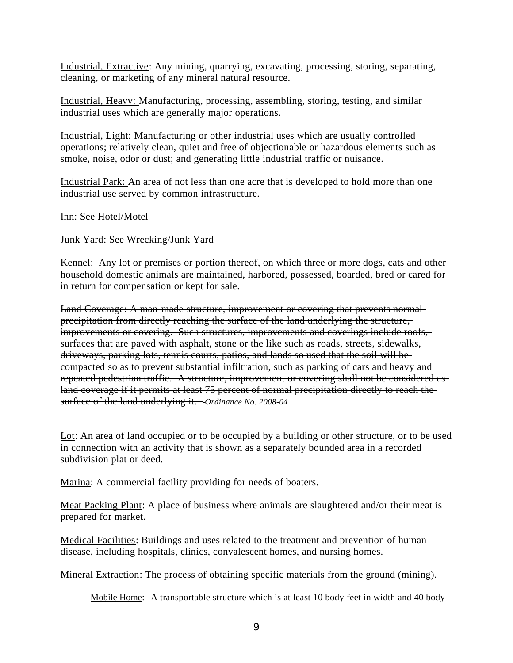Industrial, Extractive: Any mining, quarrying, excavating, processing, storing, separating, cleaning, or marketing of any mineral natural resource.

Industrial, Heavy: Manufacturing, processing, assembling, storing, testing, and similar industrial uses which are generally major operations.

Industrial, Light: Manufacturing or other industrial uses which are usually controlled operations; relatively clean, quiet and free of objectionable or hazardous elements such as smoke, noise, odor or dust; and generating little industrial traffic or nuisance.

Industrial Park: An area of not less than one acre that is developed to hold more than one industrial use served by common infrastructure.

Inn: See Hotel/Motel

Junk Yard: See Wrecking/Junk Yard

Kennel: Any lot or premises or portion thereof, on which three or more dogs, cats and other household domestic animals are maintained, harbored, possessed, boarded, bred or cared for in return for compensation or kept for sale.

Land Coverage: A man-made structure, improvement or covering that prevents normal precipitation from directly reaching the surface of the land underlying the structure, improvements or covering. Such structures, improvements and coverings include roofs, surfaces that are paved with asphalt, stone or the like such as roads, streets, sidewalks, driveways, parking lots, tennis courts, patios, and lands so used that the soil will be compacted so as to prevent substantial infiltration, such as parking of cars and heavy and repeated pedestrian traffic. A structure, improvement or covering shall not be considered as land coverage if it permits at least 75 percent of normal precipitation directly to reach thesurface of the land underlying it. *Ordinance No. 2008-04*

Lot: An area of land occupied or to be occupied by a building or other structure, or to be used in connection with an activity that is shown as a separately bounded area in a recorded subdivision plat or deed.

Marina: A commercial facility providing for needs of boaters.

Meat Packing Plant: A place of business where animals are slaughtered and/or their meat is prepared for market.

Medical Facilities: Buildings and uses related to the treatment and prevention of human disease, including hospitals, clinics, convalescent homes, and nursing homes.

Mineral Extraction: The process of obtaining specific materials from the ground (mining).

Mobile Home: A transportable structure which is at least 10 body feet in width and 40 body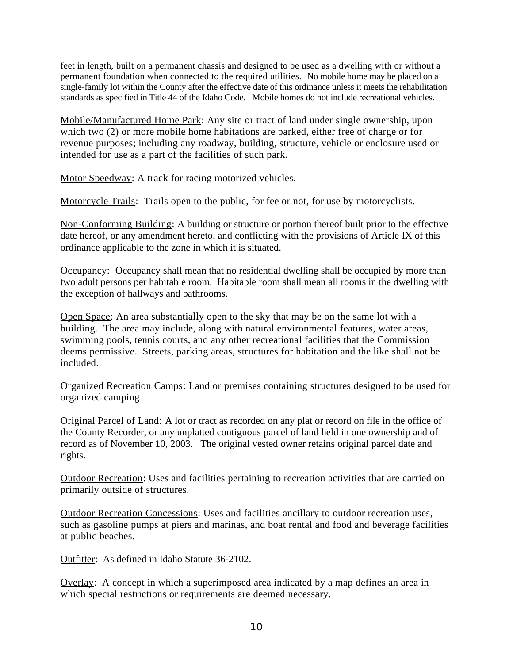feet in length, built on a permanent chassis and designed to be used as a dwelling with or without a permanent foundation when connected to the required utilities. No mobile home may be placed on a single-family lot within the County after the effective date of this ordinance unless it meets the rehabilitation standards as specified in Title 44 of the Idaho Code. Mobile homes do not include recreational vehicles.

Mobile/Manufactured Home Park: Any site or tract of land under single ownership, upon which two (2) or more mobile home habitations are parked, either free of charge or for revenue purposes; including any roadway, building, structure, vehicle or enclosure used or intended for use as a part of the facilities of such park.

Motor Speedway: A track for racing motorized vehicles.

Motorcycle Trails: Trails open to the public, for fee or not, for use by motorcyclists.

Non-Conforming Building: A building or structure or portion thereof built prior to the effective date hereof, or any amendment hereto, and conflicting with the provisions of Article IX of this ordinance applicable to the zone in which it is situated.

Occupancy: Occupancy shall mean that no residential dwelling shall be occupied by more than two adult persons per habitable room. Habitable room shall mean all rooms in the dwelling with the exception of hallways and bathrooms.

Open Space: An area substantially open to the sky that may be on the same lot with a building. The area may include, along with natural environmental features, water areas, swimming pools, tennis courts, and any other recreational facilities that the Commission deems permissive. Streets, parking areas, structures for habitation and the like shall not be included.

Organized Recreation Camps: Land or premises containing structures designed to be used for organized camping.

Original Parcel of Land: A lot or tract as recorded on any plat or record on file in the office of the County Recorder, or any unplatted contiguous parcel of land held in one ownership and of record as of November 10, 2003. The original vested owner retains original parcel date and rights.

Outdoor Recreation: Uses and facilities pertaining to recreation activities that are carried on primarily outside of structures.

Outdoor Recreation Concessions: Uses and facilities ancillary to outdoor recreation uses, such as gasoline pumps at piers and marinas, and boat rental and food and beverage facilities at public beaches.

Outfitter: As defined in Idaho Statute 36-2102.

Overlay: A concept in which a superimposed area indicated by a map defines an area in which special restrictions or requirements are deemed necessary.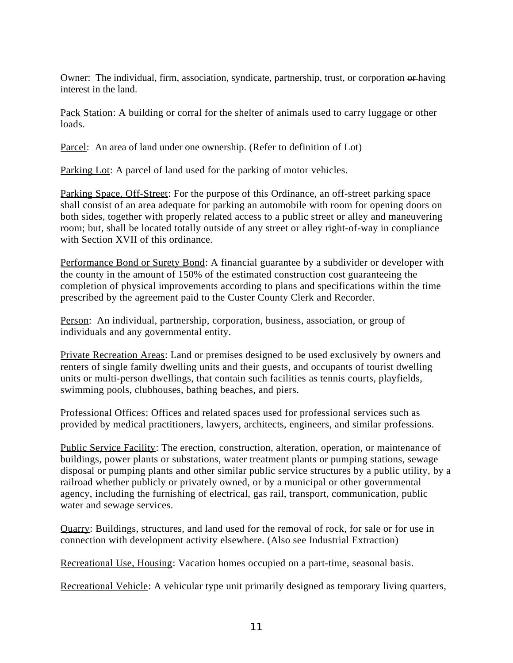Owner: The individual, firm, association, syndicate, partnership, trust, or corporation  $\theta$ thaving interest in the land.

Pack Station: A building or corral for the shelter of animals used to carry luggage or other loads.

Parcel: An area of land under one ownership. (Refer to definition of Lot)

Parking Lot: A parcel of land used for the parking of motor vehicles.

Parking Space, Off-Street: For the purpose of this Ordinance, an off-street parking space shall consist of an area adequate for parking an automobile with room for opening doors on both sides, together with properly related access to a public street or alley and maneuvering room; but, shall be located totally outside of any street or alley right-of-way in compliance with Section XVII of this ordinance.

Performance Bond or Surety Bond: A financial guarantee by a subdivider or developer with the county in the amount of 150% of the estimated construction cost guaranteeing the completion of physical improvements according to plans and specifications within the time prescribed by the agreement paid to the Custer County Clerk and Recorder.

Person: An individual, partnership, corporation, business, association, or group of individuals and any governmental entity.

Private Recreation Areas: Land or premises designed to be used exclusively by owners and renters of single family dwelling units and their guests, and occupants of tourist dwelling units or multi-person dwellings, that contain such facilities as tennis courts, playfields, swimming pools, clubhouses, bathing beaches, and piers.

Professional Offices: Offices and related spaces used for professional services such as provided by medical practitioners, lawyers, architects, engineers, and similar professions.

Public Service Facility: The erection, construction, alteration, operation, or maintenance of buildings, power plants or substations, water treatment plants or pumping stations, sewage disposal or pumping plants and other similar public service structures by a public utility, by a railroad whether publicly or privately owned, or by a municipal or other governmental agency, including the furnishing of electrical, gas rail, transport, communication, public water and sewage services.

Quarry: Buildings, structures, and land used for the removal of rock, for sale or for use in connection with development activity elsewhere. (Also see Industrial Extraction)

Recreational Use, Housing: Vacation homes occupied on a part-time, seasonal basis.

Recreational Vehicle: A vehicular type unit primarily designed as temporary living quarters,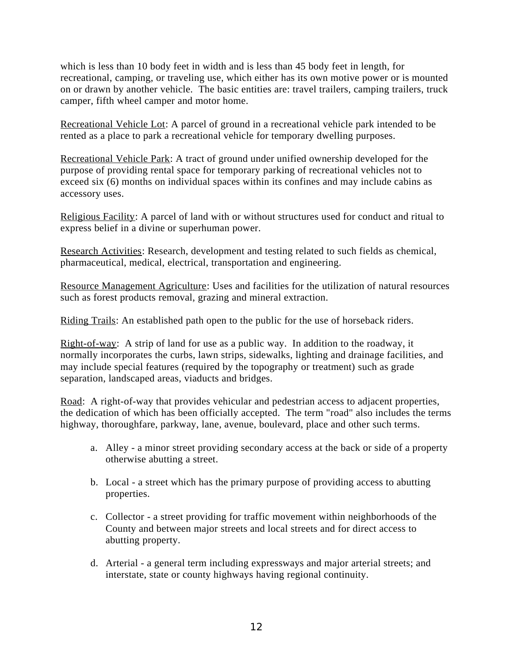which is less than 10 body feet in width and is less than 45 body feet in length, for recreational, camping, or traveling use, which either has its own motive power or is mounted on or drawn by another vehicle. The basic entities are: travel trailers, camping trailers, truck camper, fifth wheel camper and motor home.

Recreational Vehicle Lot: A parcel of ground in a recreational vehicle park intended to be rented as a place to park a recreational vehicle for temporary dwelling purposes.

Recreational Vehicle Park: A tract of ground under unified ownership developed for the purpose of providing rental space for temporary parking of recreational vehicles not to exceed six (6) months on individual spaces within its confines and may include cabins as accessory uses.

Religious Facility: A parcel of land with or without structures used for conduct and ritual to express belief in a divine or superhuman power.

Research Activities: Research, development and testing related to such fields as chemical, pharmaceutical, medical, electrical, transportation and engineering.

Resource Management Agriculture: Uses and facilities for the utilization of natural resources such as forest products removal, grazing and mineral extraction.

Riding Trails: An established path open to the public for the use of horseback riders.

Right-of-way: A strip of land for use as a public way. In addition to the roadway, it normally incorporates the curbs, lawn strips, sidewalks, lighting and drainage facilities, and may include special features (required by the topography or treatment) such as grade separation, landscaped areas, viaducts and bridges.

Road: A right-of-way that provides vehicular and pedestrian access to adjacent properties, the dedication of which has been officially accepted. The term "road" also includes the terms highway, thoroughfare, parkway, lane, avenue, boulevard, place and other such terms.

- a. Alley a minor street providing secondary access at the back or side of a property otherwise abutting a street.
- b. Local a street which has the primary purpose of providing access to abutting properties.
- c. Collector a street providing for traffic movement within neighborhoods of the County and between major streets and local streets and for direct access to abutting property.
- d. Arterial a general term including expressways and major arterial streets; and interstate, state or county highways having regional continuity.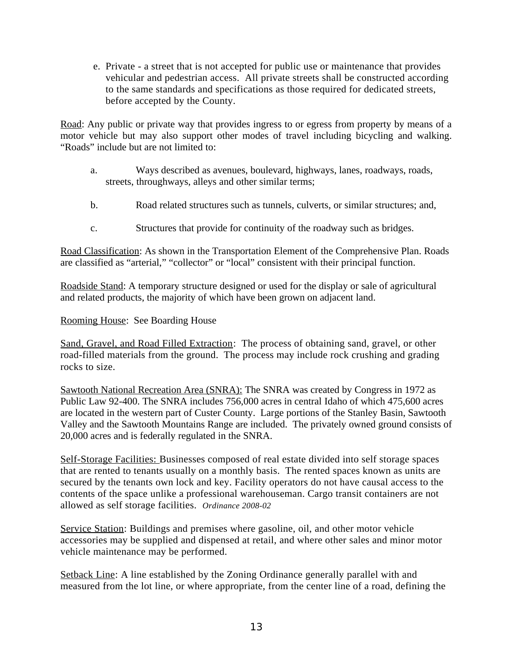e. Private - a street that is not accepted for public use or maintenance that provides vehicular and pedestrian access. All private streets shall be constructed according to the same standards and specifications as those required for dedicated streets, before accepted by the County.

Road: Any public or private way that provides ingress to or egress from property by means of a motor vehicle but may also support other modes of travel including bicycling and walking. "Roads" include but are not limited to:

- a. Ways described as avenues, boulevard, highways, lanes, roadways, roads, streets, throughways, alleys and other similar terms;
- b. Road related structures such as tunnels, culverts, or similar structures; and,
- c. Structures that provide for continuity of the roadway such as bridges.

Road Classification: As shown in the Transportation Element of the Comprehensive Plan. Roads are classified as "arterial," "collector" or "local" consistent with their principal function.

Roadside Stand: A temporary structure designed or used for the display or sale of agricultural and related products, the majority of which have been grown on adjacent land.

## Rooming House: See Boarding House

Sand, Gravel, and Road Filled Extraction: The process of obtaining sand, gravel, or other road-filled materials from the ground. The process may include rock crushing and grading rocks to size.

Sawtooth National Recreation Area (SNRA): The SNRA was created by Congress in 1972 as Public Law 92-400. The SNRA includes 756,000 acres in central Idaho of which 475,600 acres are located in the western part of Custer County. Large portions of the Stanley Basin, Sawtooth Valley and the Sawtooth Mountains Range are included. The privately owned ground consists of 20,000 acres and is federally regulated in the SNRA.

Self-Storage Facilities: Businesses composed of real estate divided into self storage spaces that are rented to tenants usually on a monthly basis. The rented spaces known as units are secured by the tenants own lock and key. Facility operators do not have causal access to the contents of the space unlike a professional warehouseman. Cargo transit containers are not allowed as self storage facilities. *Ordinance 2008-02*

Service Station: Buildings and premises where gasoline, oil, and other motor vehicle accessories may be supplied and dispensed at retail, and where other sales and minor motor vehicle maintenance may be performed.

Setback Line: A line established by the Zoning Ordinance generally parallel with and measured from the lot line, or where appropriate, from the center line of a road, defining the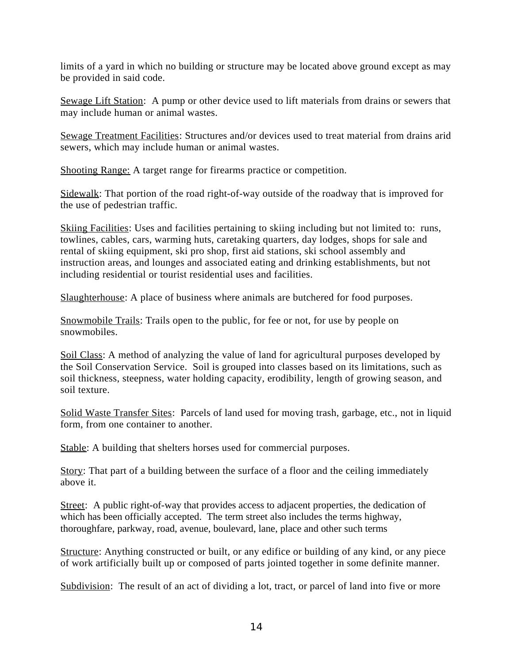limits of a yard in which no building or structure may be located above ground except as may be provided in said code.

Sewage Lift Station: A pump or other device used to lift materials from drains or sewers that may include human or animal wastes.

Sewage Treatment Facilities: Structures and/or devices used to treat material from drains arid sewers, which may include human or animal wastes.

Shooting Range: A target range for firearms practice or competition.

Sidewalk: That portion of the road right-of-way outside of the roadway that is improved for the use of pedestrian traffic.

Skiing Facilities: Uses and facilities pertaining to skiing including but not limited to: runs, towlines, cables, cars, warming huts, caretaking quarters, day lodges, shops for sale and rental of skiing equipment, ski pro shop, first aid stations, ski school assembly and instruction areas, and lounges and associated eating and drinking establishments, but not including residential or tourist residential uses and facilities.

Slaughterhouse: A place of business where animals are butchered for food purposes.

Snowmobile Trails: Trails open to the public, for fee or not, for use by people on snowmobiles.

Soil Class: A method of analyzing the value of land for agricultural purposes developed by the Soil Conservation Service. Soil is grouped into classes based on its limitations, such as soil thickness, steepness, water holding capacity, erodibility, length of growing season, and soil texture.

Solid Waste Transfer Sites: Parcels of land used for moving trash, garbage, etc., not in liquid form, from one container to another.

Stable: A building that shelters horses used for commercial purposes.

Story: That part of a building between the surface of a floor and the ceiling immediately above it.

Street: A public right-of-way that provides access to adjacent properties, the dedication of which has been officially accepted. The term street also includes the terms highway, thoroughfare, parkway, road, avenue, boulevard, lane, place and other such terms

Structure: Anything constructed or built, or any edifice or building of any kind, or any piece of work artificially built up or composed of parts jointed together in some definite manner.

Subdivision: The result of an act of dividing a lot, tract, or parcel of land into five or more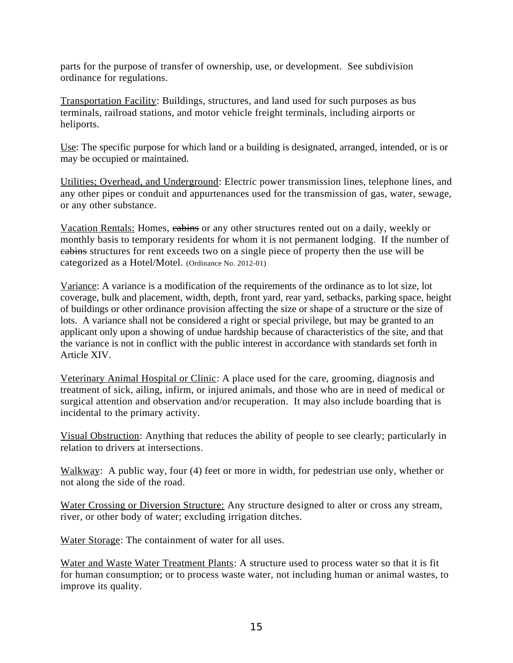parts for the purpose of transfer of ownership, use, or development. See subdivision ordinance for regulations.

Transportation Facility: Buildings, structures, and land used for such purposes as bus terminals, railroad stations, and motor vehicle freight terminals, including airports or heliports.

Use: The specific purpose for which land or a building is designated, arranged, intended, or is or may be occupied or maintained.

Utilities; Overhead, and Underground: Electric power transmission lines, telephone lines, and any other pipes or conduit and appurtenances used for the transmission of gas, water, sewage, or any other substance.

Vacation Rentals: Homes, cabins or any other structures rented out on a daily, weekly or monthly basis to temporary residents for whom it is not permanent lodging. If the number of cabins structures for rent exceeds two on a single piece of property then the use will be categorized as a Hotel/Motel. (Ordinance No. 2012-01)

Variance: A variance is a modification of the requirements of the ordinance as to lot size, lot coverage, bulk and placement, width, depth, front yard, rear yard, setbacks, parking space, height of buildings or other ordinance provision affecting the size or shape of a structure or the size of lots. A variance shall not be considered a right or special privilege, but may be granted to an applicant only upon a showing of undue hardship because of characteristics of the site, and that the variance is not in conflict with the public interest in accordance with standards set forth in Article XIV.

Veterinary Animal Hospital or Clinic: A place used for the care, grooming, diagnosis and treatment of sick, ailing, infirm, or injured animals, and those who are in need of medical or surgical attention and observation and/or recuperation. It may also include boarding that is incidental to the primary activity.

Visual Obstruction: Anything that reduces the ability of people to see clearly; particularly in relation to drivers at intersections.

Walkway: A public way, four (4) feet or more in width, for pedestrian use only, whether or not along the side of the road.

Water Crossing or Diversion Structure: Any structure designed to alter or cross any stream, river, or other body of water; excluding irrigation ditches.

Water Storage: The containment of water for all uses.

Water and Waste Water Treatment Plants: A structure used to process water so that it is fit for human consumption; or to process waste water, not including human or animal wastes, to improve its quality.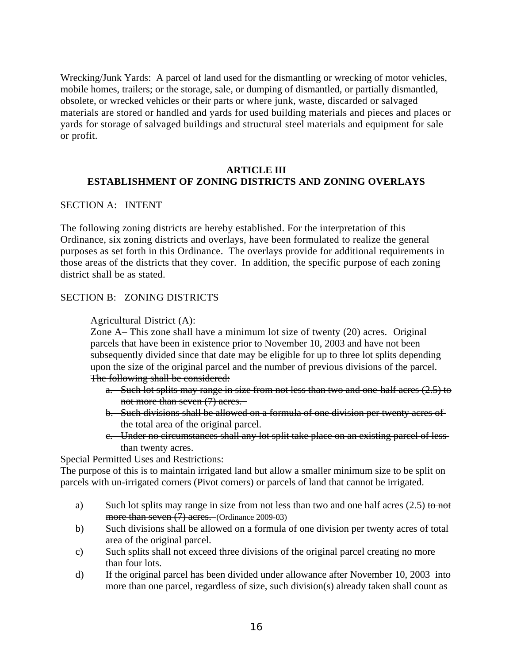Wrecking/Junk Yards: A parcel of land used for the dismantling or wrecking of motor vehicles, mobile homes, trailers; or the storage, sale, or dumping of dismantled, or partially dismantled, obsolete, or wrecked vehicles or their parts or where junk, waste, discarded or salvaged materials are stored or handled and yards for used building materials and pieces and places or yards for storage of salvaged buildings and structural steel materials and equipment for sale or profit.

## **ARTICLE III ESTABLISHMENT OF ZONING DISTRICTS AND ZONING OVERLAYS**

SECTION A: INTENT

The following zoning districts are hereby established. For the interpretation of this Ordinance, six zoning districts and overlays, have been formulated to realize the general purposes as set forth in this Ordinance. The overlays provide for additional requirements in those areas of the districts that they cover. In addition, the specific purpose of each zoning district shall be as stated.

#### SECTION B: ZONING DISTRICTS

Agricultural District (A):

Zone A– This zone shall have a minimum lot size of twenty (20) acres. Original parcels that have been in existence prior to November 10, 2003 and have not been subsequently divided since that date may be eligible for up to three lot splits depending upon the size of the original parcel and the number of previous divisions of the parcel. The following shall be considered:

- a. Such lot splits may range in size from not less than two and one-half acres (2.5) to not more than seven (7) acres.
- b. Such divisions shall be allowed on a formula of one division per twenty acres of the total area of the original parcel.
- c. Under no circumstances shall any lot split take place on an existing parcel of less than twenty acres.

Special Permitted Uses and Restrictions:

The purpose of this is to maintain irrigated land but allow a smaller minimum size to be split on parcels with un-irrigated corners (Pivot corners) or parcels of land that cannot be irrigated.

- a) Such lot splits may range in size from not less than two and one half acres  $(2.5)$  to not more than seven (7) acres. (Ordinance 2009-03)
- b) Such divisions shall be allowed on a formula of one division per twenty acres of total area of the original parcel.
- c) Such splits shall not exceed three divisions of the original parcel creating no more than four lots.
- d) If the original parcel has been divided under allowance after November 10, 2003 into more than one parcel, regardless of size, such division(s) already taken shall count as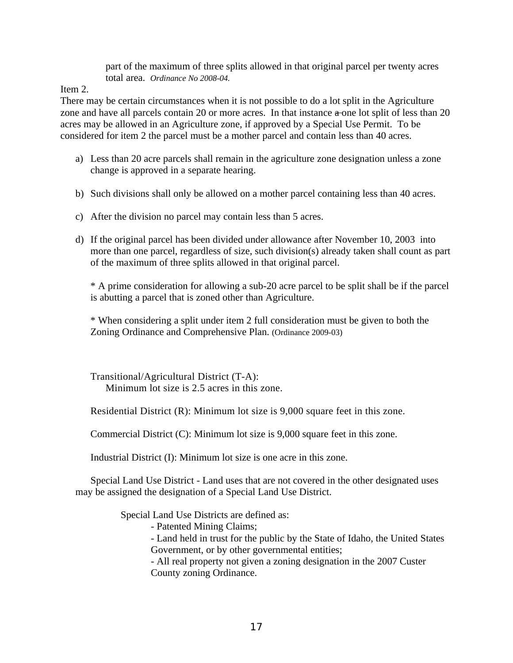part of the maximum of three splits allowed in that original parcel per twenty acres total area. *Ordinance No 2008-04.*

Item 2.

There may be certain circumstances when it is not possible to do a lot split in the Agriculture zone and have all parcels contain 20 or more acres. In that instance  $\alpha$ -one lot split of less than 20 acres may be allowed in an Agriculture zone, if approved by a Special Use Permit. To be considered for item 2 the parcel must be a mother parcel and contain less than 40 acres.

- a) Less than 20 acre parcels shall remain in the agriculture zone designation unless a zone change is approved in a separate hearing.
- b) Such divisions shall only be allowed on a mother parcel containing less than 40 acres.
- c) After the division no parcel may contain less than 5 acres.
- d) If the original parcel has been divided under allowance after November 10, 2003 into more than one parcel, regardless of size, such division(s) already taken shall count as part of the maximum of three splits allowed in that original parcel.

\* A prime consideration for allowing a sub-20 acre parcel to be split shall be if the parcel is abutting a parcel that is zoned other than Agriculture.

\* When considering a split under item 2 full consideration must be given to both the Zoning Ordinance and Comprehensive Plan. (Ordinance 2009-03)

Transitional/Agricultural District (T-A): Minimum lot size is 2.5 acres in this zone.

Residential District (R): Minimum lot size is 9,000 square feet in this zone.

Commercial District (C): Minimum lot size is 9,000 square feet in this zone.

Industrial District (I): Minimum lot size is one acre in this zone.

Special Land Use District - Land uses that are not covered in the other designated uses may be assigned the designation of a Special Land Use District.

Special Land Use Districts are defined as:

- Patented Mining Claims;

- Land held in trust for the public by the State of Idaho, the United States Government, or by other governmental entities;

- All real property not given a zoning designation in the 2007 Custer County zoning Ordinance.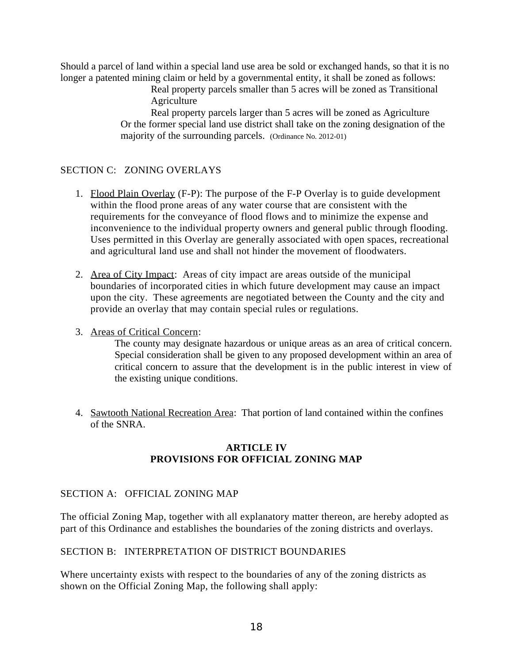Should a parcel of land within a special land use area be sold or exchanged hands, so that it is no longer a patented mining claim or held by a governmental entity, it shall be zoned as follows:

Real property parcels smaller than 5 acres will be zoned as Transitional **Agriculture** 

Real property parcels larger than 5 acres will be zoned as Agriculture Or the former special land use district shall take on the zoning designation of the majority of the surrounding parcels. (Ordinance No. 2012-01)

# SECTION C: ZONING OVERLAYS

- 1. Flood Plain Overlay (F-P): The purpose of the F-P Overlay is to guide development within the flood prone areas of any water course that are consistent with the requirements for the conveyance of flood flows and to minimize the expense and inconvenience to the individual property owners and general public through flooding. Uses permitted in this Overlay are generally associated with open spaces, recreational and agricultural land use and shall not hinder the movement of floodwaters.
- 2. Area of City Impact: Areas of city impact are areas outside of the municipal boundaries of incorporated cities in which future development may cause an impact upon the city. These agreements are negotiated between the County and the city and provide an overlay that may contain special rules or regulations.
- 3. Areas of Critical Concern:

The county may designate hazardous or unique areas as an area of critical concern. Special consideration shall be given to any proposed development within an area of critical concern to assure that the development is in the public interest in view of the existing unique conditions.

4. Sawtooth National Recreation Area: That portion of land contained within the confines of the SNRA.

## **ARTICLE IV PROVISIONS FOR OFFICIAL ZONING MAP**

#### SECTION A: OFFICIAL ZONING MAP

The official Zoning Map, together with all explanatory matter thereon, are hereby adopted as part of this Ordinance and establishes the boundaries of the zoning districts and overlays.

#### SECTION B: INTERPRETATION OF DISTRICT BOUNDARIES

Where uncertainty exists with respect to the boundaries of any of the zoning districts as shown on the Official Zoning Map, the following shall apply: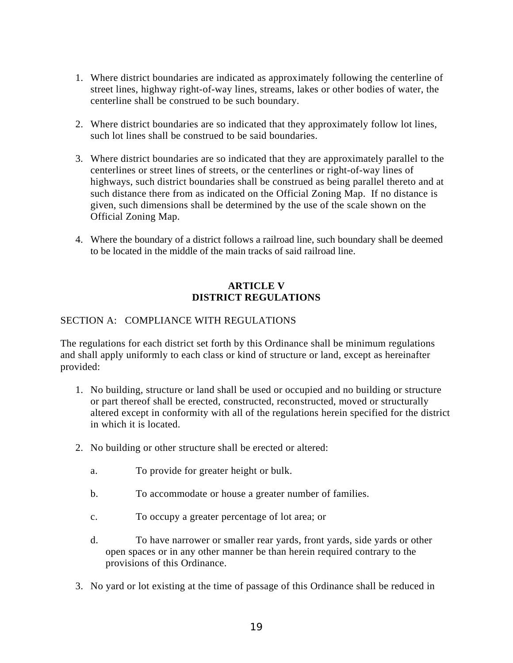- 1. Where district boundaries are indicated as approximately following the centerline of street lines, highway right-of-way lines, streams, lakes or other bodies of water, the centerline shall be construed to be such boundary.
- 2. Where district boundaries are so indicated that they approximately follow lot lines, such lot lines shall be construed to be said boundaries.
- 3. Where district boundaries are so indicated that they are approximately parallel to the centerlines or street lines of streets, or the centerlines or right-of-way lines of highways, such district boundaries shall be construed as being parallel thereto and at such distance there from as indicated on the Official Zoning Map. If no distance is given, such dimensions shall be determined by the use of the scale shown on the Official Zoning Map.
- 4. Where the boundary of a district follows a railroad line, such boundary shall be deemed to be located in the middle of the main tracks of said railroad line.

## **ARTICLE V DISTRICT REGULATIONS**

# SECTION A: COMPLIANCE WITH REGULATIONS

The regulations for each district set forth by this Ordinance shall be minimum regulations and shall apply uniformly to each class or kind of structure or land, except as hereinafter provided:

- 1. No building, structure or land shall be used or occupied and no building or structure or part thereof shall be erected, constructed, reconstructed, moved or structurally altered except in conformity with all of the regulations herein specified for the district in which it is located.
- 2. No building or other structure shall be erected or altered:
	- a. To provide for greater height or bulk.
	- b. To accommodate or house a greater number of families.
	- c. To occupy a greater percentage of lot area; or
	- d. To have narrower or smaller rear yards, front yards, side yards or other open spaces or in any other manner be than herein required contrary to the provisions of this Ordinance.
- 3. No yard or lot existing at the time of passage of this Ordinance shall be reduced in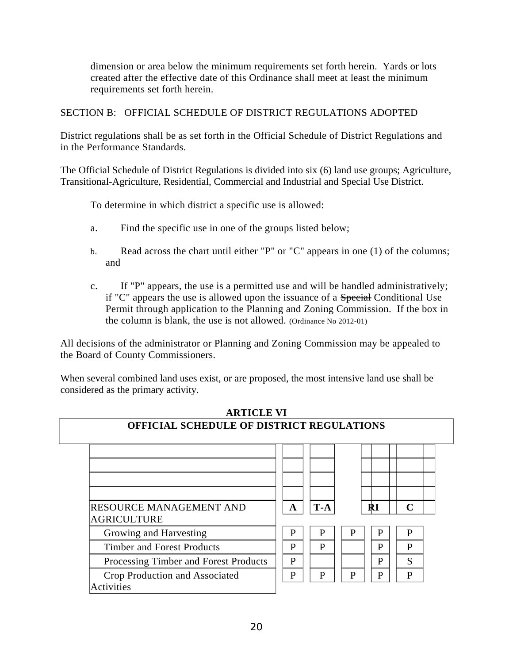dimension or area below the minimum requirements set forth herein. Yards or lots created after the effective date of this Ordinance shall meet at least the minimum requirements set forth herein.

SECTION B: OFFICIAL SCHEDULE OF DISTRICT REGULATIONS ADOPTED

District regulations shall be as set forth in the Official Schedule of District Regulations and in the Performance Standards.

The Official Schedule of District Regulations is divided into six (6) land use groups; Agriculture, Transitional-Agriculture, Residential, Commercial and Industrial and Special Use District.

To determine in which district a specific use is allowed:

- a. Find the specific use in one of the groups listed below;
- b. Read across the chart until either "P" or "C" appears in one (1) of the columns; and
- c. If "P" appears, the use is a permitted use and will be handled administratively; if "C" appears the use is allowed upon the issuance of a Special Conditional Use Permit through application to the Planning and Zoning Commission. If the box in the column is blank, the use is not allowed. (Ordinance No 2012-01)

All decisions of the administrator or Planning and Zoning Commission may be appealed to the Board of County Commissioners.

When several combined land uses exist, or are proposed, the most intensive land use shall be considered as the primary activity.

| <b>OFFICIAL SCHEDULE OF DISTRICT REGULATIONS</b>     |   |       |   |              |              |
|------------------------------------------------------|---|-------|---|--------------|--------------|
|                                                      |   |       |   |              |              |
| <b>RESOURCE MANAGEMENT AND</b><br><b>AGRICULTURE</b> | A | $T-A$ |   | $\mathbf{R}$ | $\mathsf{C}$ |
| Growing and Harvesting                               | P | P     | P | P            | P            |
| <b>Timber and Forest Products</b>                    | P | P     |   | P            | P            |
| Processing Timber and Forest Products                | P |       |   | P            | S            |
| Crop Production and Associated<br><b>Activities</b>  | P | P     | P | P            | P            |

# **ARTICLE VI**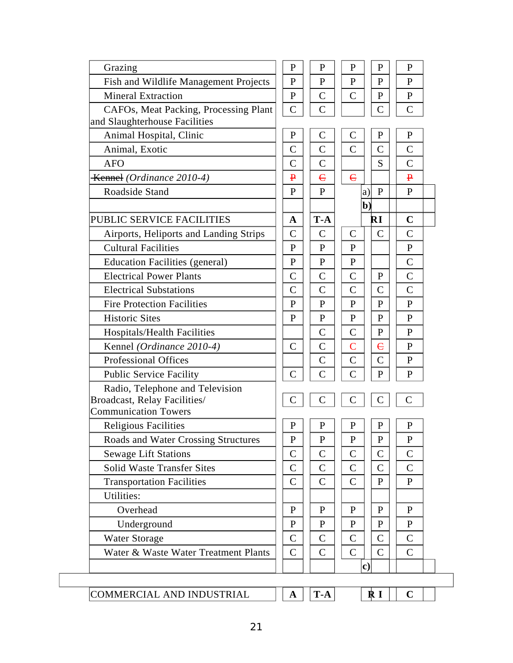| P                                     | $\mathbf{P}$                                    | P                                           | P                                                      | P                                                                                              |                                                                                    |
|---------------------------------------|-------------------------------------------------|---------------------------------------------|--------------------------------------------------------|------------------------------------------------------------------------------------------------|------------------------------------------------------------------------------------|
| P                                     | P                                               | P                                           | P                                                      | P                                                                                              |                                                                                    |
| $\mathbf{P}$                          | C                                               | $\mathsf{C}$                                | P                                                      | P                                                                                              |                                                                                    |
| $\mathsf C$                           | C                                               |                                             | C                                                      | $\mathsf C$                                                                                    |                                                                                    |
|                                       |                                                 |                                             |                                                        |                                                                                                |                                                                                    |
| ${\bf P}$                             | $\mathsf C$                                     | C                                           | $\mathbf{P}$                                           | $\mathbf{P}$                                                                                   |                                                                                    |
| C                                     | C                                               | C                                           | C                                                      | $\mathsf{C}$                                                                                   |                                                                                    |
| C                                     | C                                               |                                             | S                                                      | $\mathsf{C}$                                                                                   |                                                                                    |
| ₽                                     | $\epsilon$                                      | $\epsilon$                                  |                                                        | $\overline{\mathbf{P}}$                                                                        |                                                                                    |
| P                                     | P                                               |                                             | P                                                      | P                                                                                              |                                                                                    |
|                                       |                                                 |                                             |                                                        |                                                                                                |                                                                                    |
| A                                     | $T-A$                                           |                                             | ŔI                                                     | $\mathbf C$                                                                                    |                                                                                    |
| C                                     | C                                               | C                                           | C                                                      | C                                                                                              |                                                                                    |
| P                                     | P                                               | P                                           |                                                        | $\mathbf{P}$                                                                                   |                                                                                    |
| P                                     | P                                               | P                                           |                                                        | $\overline{C}$                                                                                 |                                                                                    |
| C                                     | C                                               | C                                           | P                                                      | $\overline{C}$                                                                                 |                                                                                    |
| C                                     | C                                               | C                                           | C                                                      | $\mathsf{C}$                                                                                   |                                                                                    |
| P                                     | P                                               | P                                           | P                                                      | P                                                                                              |                                                                                    |
| P                                     | $\mathbf{P}$                                    | P                                           | P                                                      | $\mathbf{P}$                                                                                   |                                                                                    |
|                                       | C                                               | $\mathsf{C}$                                | P                                                      | P                                                                                              |                                                                                    |
| C                                     | C                                               | C                                           | $\epsilon$                                             | P                                                                                              |                                                                                    |
|                                       | $\mathsf C$                                     | C                                           | C                                                      | $\mathbf{P}$                                                                                   |                                                                                    |
| C                                     | $\mathsf C$                                     | C                                           | $\mathbf{P}$                                           | P                                                                                              |                                                                                    |
|                                       |                                                 |                                             |                                                        |                                                                                                |                                                                                    |
| C                                     | C                                               | C                                           | C                                                      | $\overline{C}$                                                                                 |                                                                                    |
|                                       |                                                 |                                             |                                                        |                                                                                                |                                                                                    |
|                                       |                                                 |                                             |                                                        |                                                                                                |                                                                                    |
|                                       |                                                 |                                             |                                                        |                                                                                                |                                                                                    |
|                                       |                                                 |                                             |                                                        |                                                                                                |                                                                                    |
|                                       |                                                 |                                             |                                                        |                                                                                                |                                                                                    |
|                                       |                                                 |                                             |                                                        |                                                                                                |                                                                                    |
|                                       |                                                 |                                             |                                                        |                                                                                                |                                                                                    |
| P                                     | P                                               | P                                           | P                                                      | P                                                                                              |                                                                                    |
| ${\bf P}$                             | P                                               | P                                           | $\mathbf{P}$                                           | $\mathbf{P}$                                                                                   |                                                                                    |
| $\overline{C}$                        | C                                               | $\mathsf{C}$                                | $\mathsf{C}$                                           |                                                                                                |                                                                                    |
| $\overline{C}$                        | $\mathsf{C}$                                    | $\mathsf{C}$                                | $\overline{C}$                                         | $\overline{C}$                                                                                 |                                                                                    |
|                                       |                                                 |                                             |                                                        |                                                                                                |                                                                                    |
|                                       |                                                 |                                             |                                                        |                                                                                                |                                                                                    |
| $\mathbf{A}$                          | $T-A$                                           |                                             | $\mathbf{R}$ I                                         | $\mathbf C$                                                                                    |                                                                                    |
| CAFOs, Meat Packing, Processing Plant | P<br>P<br>C<br>$\overline{C}$<br>$\overline{C}$ | $\mathbf{P}$<br>P<br>C<br>C<br>$\mathsf{C}$ | $\mathbf{P}$<br>P<br>C<br>$\mathsf{C}$<br>$\mathsf{C}$ | a)<br>b)<br>$\mathbf{P}$<br>$\mathbf{P}$<br>C<br>$\mathsf{C}$<br>$\mathbf{P}$<br>$\mathbf{c})$ | ${\bf P}$<br>P<br>$\mathsf{C}$<br>$\overline{C}$<br>$\mathbf{p}$<br>$\overline{C}$ |

21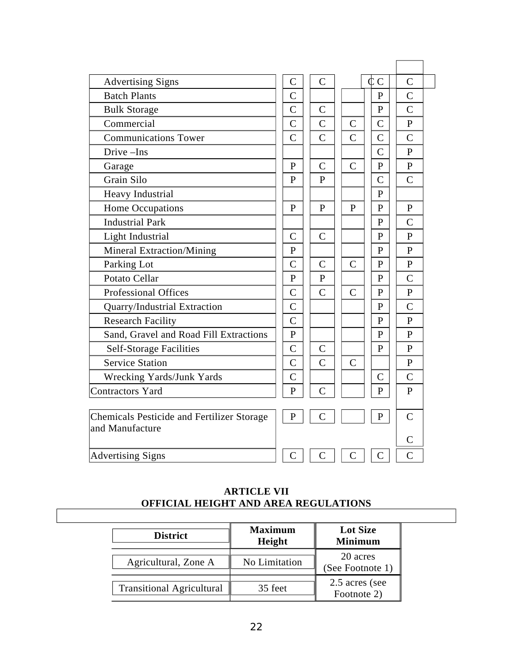| <b>Advertising Signs</b>                          | $\overline{C}$ | $\mathsf{C}$   |                | ¢с             | $\overline{C}$ |  |
|---------------------------------------------------|----------------|----------------|----------------|----------------|----------------|--|
| <b>Batch Plants</b>                               | $\overline{C}$ |                |                | $\mathbf{P}$   | $\overline{C}$ |  |
| <b>Bulk Storage</b>                               | C              | $\mathsf{C}$   |                | $\mathbf{P}$   | C              |  |
| Commercial                                        | C              | $\overline{C}$ | $\mathsf{C}$   | $\mathsf{C}$   | $\mathbf{p}$   |  |
| <b>Communications Tower</b>                       | C              | $\overline{C}$ | $\mathsf{C}$   | $\mathsf{C}$   | $\overline{C}$ |  |
| Drive-Ins                                         |                |                |                | $\overline{C}$ | P              |  |
| Garage                                            | $\mathbf{P}$   | $\mathsf{C}$   | C              | $\mathbf{P}$   | $\mathbf{P}$   |  |
| Grain Silo                                        | $\mathbf{P}$   | $\mathbf{P}$   |                | C              | $\overline{C}$ |  |
| <b>Heavy Industrial</b>                           |                |                |                | $\mathbf{P}$   |                |  |
| <b>Home Occupations</b>                           | P              | $\mathbf{P}$   | $\mathbf{P}$   | $\mathbf{P}$   | $\mathbf{P}$   |  |
| <b>Industrial Park</b>                            |                |                |                | $\mathbf{P}$   | $\overline{C}$ |  |
| Light Industrial                                  | C              | $\mathsf{C}$   |                | $\mathbf{P}$   | $\mathbf{P}$   |  |
| <b>Mineral Extraction/Mining</b>                  | $\mathbf{P}$   |                |                | $\mathbf{P}$   | $\mathbf{p}$   |  |
| Parking Lot                                       | $\overline{C}$ | $\mathsf{C}$   | $\mathsf{C}$   | $\mathbf{P}$   | $\mathbf{p}$   |  |
| Potato Cellar                                     | $\mathbf{P}$   | $\mathbf{P}$   |                | $\mathbf{P}$   | $\overline{C}$ |  |
| <b>Professional Offices</b>                       | C              | $\mathsf{C}$   | $\overline{C}$ | $\mathbf{P}$   | $\mathbf{p}$   |  |
| Quarry/Industrial Extraction                      | $\overline{C}$ |                |                | $\mathbf{P}$   | $\overline{C}$ |  |
| <b>Research Facility</b>                          | $\overline{C}$ |                |                | $\mathbf{P}$   | $\mathsf{p}$   |  |
| Sand, Gravel and Road Fill Extractions            | P              |                |                | P              | $\mathbf{p}$   |  |
| <b>Self-Storage Facilities</b>                    | C              | $\mathsf{C}$   |                | P              | $\mathbf{p}$   |  |
| <b>Service Station</b>                            | C              | $\mathsf{C}$   | C              |                | $\mathbf{P}$   |  |
| Wrecking Yards/Junk Yards                         | C              |                |                | $\overline{C}$ | $\overline{C}$ |  |
| Contractors Yard                                  | $\mathbf{P}$   | $\overline{C}$ |                | $\mathbf{P}$   | $\mathbf{P}$   |  |
|                                                   |                |                |                |                |                |  |
| <b>Chemicals Pesticide and Fertilizer Storage</b> | $\mathbf{P}$   | $\mathsf{C}$   |                | $\mathbf{P}$   | $\overline{C}$ |  |
| and Manufacture                                   |                |                |                |                | C              |  |
|                                                   |                |                |                |                |                |  |
| <b>Advertising Signs</b>                          | C              | $\mathsf C$    | $\mathsf C$    | $\mathsf{C}$   | C              |  |

# **ARTICLE VII OFFICIAL HEIGHT AND AREA REGULATIONS**

| <b>District</b>                  | <b>Maximum</b><br><b>Height</b> | <b>Lot Size</b><br><b>Minimum</b> |
|----------------------------------|---------------------------------|-----------------------------------|
| Agricultural, Zone A             | No Limitation                   | 20 acres<br>(See Footnote 1)      |
| <b>Transitional Agricultural</b> | 35 feet                         | 2.5 acres (see<br>Footnote 2)     |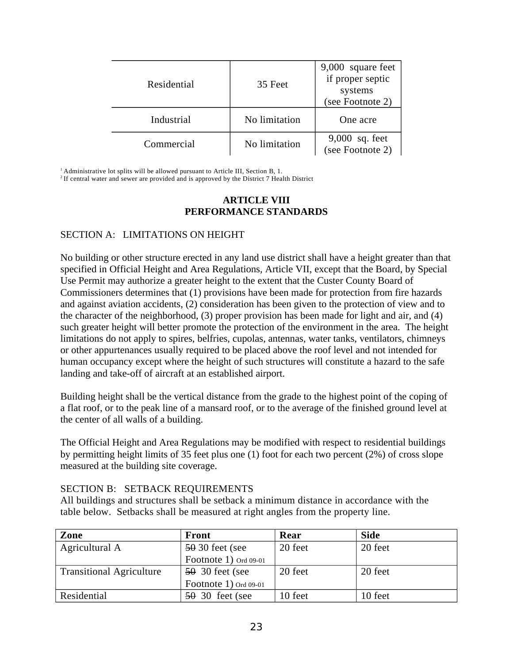| Residential | 35 Feet       | 9,000 square feet<br>if proper septic<br>systems<br>(see Footnote 2) |
|-------------|---------------|----------------------------------------------------------------------|
| Industrial  | No limitation | One acre                                                             |
| Commercial  | No limitation | 9,000 sq. feet<br>(see Footnote 2)                                   |

<sup>1</sup> Administrative lot splits will be allowed pursuant to Article III, Section B, 1.

<sup>2</sup> If central water and sewer are provided and is approved by the District 7 Health District

### **ARTICLE VIII PERFORMANCE STANDARDS**

#### SECTION A: LIMITATIONS ON HEIGHT

No building or other structure erected in any land use district shall have a height greater than that specified in Official Height and Area Regulations, Article VII, except that the Board, by Special Use Permit may authorize a greater height to the extent that the Custer County Board of Commissioners determines that (1) provisions have been made for protection from fire hazards and against aviation accidents, (2) consideration has been given to the protection of view and to the character of the neighborhood, (3) proper provision has been made for light and air, and (4) such greater height will better promote the protection of the environment in the area. The height limitations do not apply to spires, belfries, cupolas, antennas, water tanks, ventilators, chimneys or other appurtenances usually required to be placed above the roof level and not intended for human occupancy except where the height of such structures will constitute a hazard to the safe landing and take-off of aircraft at an established airport.

Building height shall be the vertical distance from the grade to the highest point of the coping of a flat roof, or to the peak line of a mansard roof, or to the average of the finished ground level at the center of all walls of a building.

The Official Height and Area Regulations may be modified with respect to residential buildings by permitting height limits of 35 feet plus one (1) foot for each two percent (2%) of cross slope measured at the building site coverage.

#### SECTION B: SETBACK REQUIREMENTS

All buildings and structures shall be setback a minimum distance in accordance with the table below. Setbacks shall be measured at right angles from the property line.

| Zone                            | <b>Front</b>          | Rear    | <b>Side</b> |
|---------------------------------|-----------------------|---------|-------------|
| Agricultural A                  | $5030$ feet (see      | 20 feet | 20 feet     |
|                                 | Footnote 1) Ord 09-01 |         |             |
| <b>Transitional Agriculture</b> | $5030$ feet (see      | 20 feet | 20 feet     |
|                                 | Footnote 1) Ord 09-01 |         |             |
| Residential                     | $50, 30$ feet (see    | 10 feet | 10 feet     |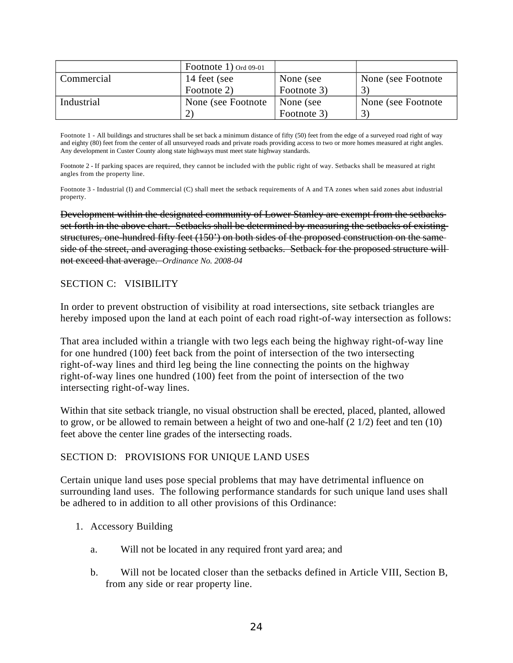|            | Footnote 1) Ord 09-01 |             |                    |
|------------|-----------------------|-------------|--------------------|
| Commercial | 14 feet (see          | None (see   | None (see Footnote |
|            | Footnote 2)           | Footnote 3) |                    |
| Industrial | None (see Footnote)   | None (see   | None (see Footnote |
|            |                       | Footnote 3) | 3                  |

Footnote 1 - All buildings and structures shall be set back a minimum distance of fifty (50) feet from the edge of a surveyed road right of way and eighty (80) feet from the center of all unsurveyed roads and private roads providing access to two or more homes measured at right angles. Any development in Custer County along state highways must meet state highway standards.

Footnote 2 - If parking spaces are required, they cannot be included with the public right of way. Setbacks shall be measured at right angles from the property line.

Footnote 3 - Industrial (I) and Commercial (C) shall meet the setback requirements of A and TA zones when said zones abut industrial property.

Development within the designated community of Lower Stanley are exempt from the setbacks set forth in the above chart. Setbacks shall be determined by measuring the setbacks of existing structures, one-hundred fifty feet (150') on both sides of the proposed construction on the same side of the street, and averaging those existing setbacks. Setback for the proposed structure willnot exceed that average. *Ordinance No. 2008-04*

### SECTION C: VISIBILITY

In order to prevent obstruction of visibility at road intersections, site setback triangles are hereby imposed upon the land at each point of each road right-of-way intersection as follows:

That area included within a triangle with two legs each being the highway right-of-way line for one hundred (100) feet back from the point of intersection of the two intersecting right-of-way lines and third leg being the line connecting the points on the highway right-of-way lines one hundred (100) feet from the point of intersection of the two intersecting right-of-way lines.

Within that site setback triangle, no visual obstruction shall be erected, placed, planted, allowed to grow, or be allowed to remain between a height of two and one-half (2 1/2) feet and ten (10) feet above the center line grades of the intersecting roads.

#### SECTION D: PROVISIONS FOR UNIQUE LAND USES

Certain unique land uses pose special problems that may have detrimental influence on surrounding land uses. The following performance standards for such unique land uses shall be adhered to in addition to all other provisions of this Ordinance:

- 1. Accessory Building
	- a. Will not be located in any required front yard area; and
	- b. Will not be located closer than the setbacks defined in Article VIII, Section B, from any side or rear property line.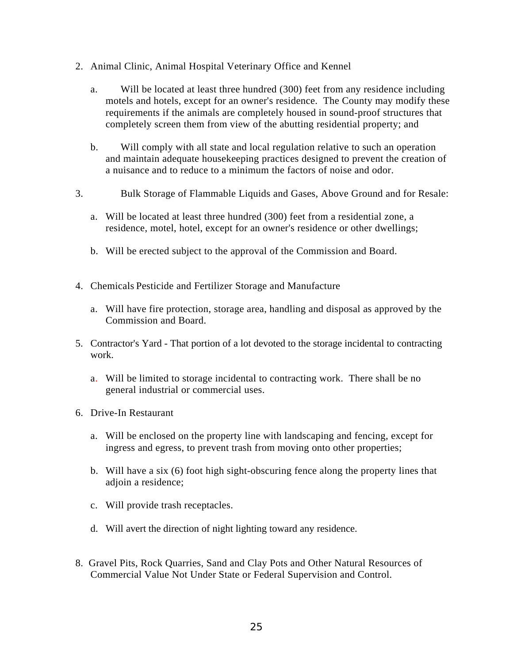- 2. Animal Clinic, Animal Hospital Veterinary Office and Kennel
	- a. Will be located at least three hundred (300) feet from any residence including motels and hotels, except for an owner's residence. The County may modify these requirements if the animals are completely housed in sound-proof structures that completely screen them from view of the abutting residential property; and
	- b. Will comply with all state and local regulation relative to such an operation and maintain adequate housekeeping practices designed to prevent the creation of a nuisance and to reduce to a minimum the factors of noise and odor.
- 3. Bulk Storage of Flammable Liquids and Gases, Above Ground and for Resale:
	- a. Will be located at least three hundred (300) feet from a residential zone, a residence, motel, hotel, except for an owner's residence or other dwellings;
	- b. Will be erected subject to the approval of the Commission and Board.
- 4. Chemicals Pesticide and Fertilizer Storage and Manufacture
	- a. Will have fire protection, storage area, handling and disposal as approved by the Commission and Board.
- 5. Contractor's Yard That portion of a lot devoted to the storage incidental to contracting work.
	- a. Will be limited to storage incidental to contracting work. There shall be no general industrial or commercial uses.
- 6. Drive-In Restaurant
	- a. Will be enclosed on the property line with landscaping and fencing, except for ingress and egress, to prevent trash from moving onto other properties;
	- b. Will have a six (6) foot high sight-obscuring fence along the property lines that adjoin a residence;
	- c. Will provide trash receptacles.
	- d. Will avert the direction of night lighting toward any residence.
- 8. Gravel Pits, Rock Quarries, Sand and Clay Pots and Other Natural Resources of Commercial Value Not Under State or Federal Supervision and Control.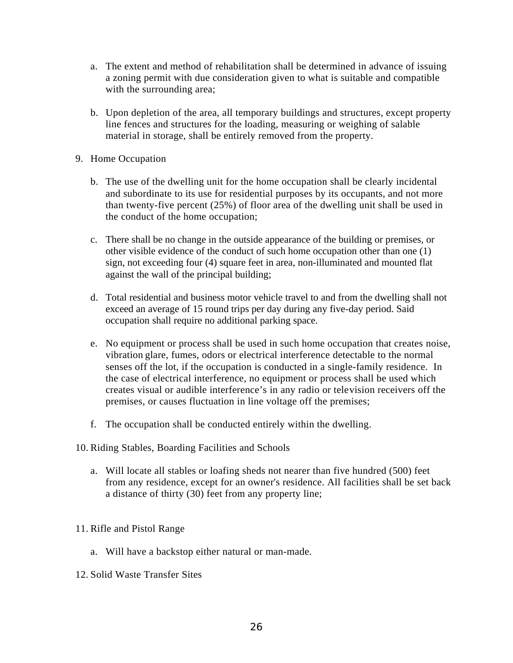- a. The extent and method of rehabilitation shall be determined in advance of issuing a zoning permit with due consideration given to what is suitable and compatible with the surrounding area;
- b. Upon depletion of the area, all temporary buildings and structures, except property line fences and structures for the loading, measuring or weighing of salable material in storage, shall be entirely removed from the property.
- 9. Home Occupation
	- b. The use of the dwelling unit for the home occupation shall be clearly incidental and subordinate to its use for residential purposes by its occupants, and not more than twenty-five percent (25%) of floor area of the dwelling unit shall be used in the conduct of the home occupation;
	- c. There shall be no change in the outside appearance of the building or premises, or other visible evidence of the conduct of such home occupation other than one (1) sign, not exceeding four (4) square feet in area, non-illuminated and mounted flat against the wall of the principal building;
	- d. Total residential and business motor vehicle travel to and from the dwelling shall not exceed an average of 15 round trips per day during any five-day period. Said occupation shall require no additional parking space.
	- e. No equipment or process shall be used in such home occupation that creates noise, vibration glare, fumes, odors or electrical interference detectable to the normal senses off the lot, if the occupation is conducted in a single-family residence. In the case of electrical interference, no equipment or process shall be used which creates visual or audible interference's in any radio or television receivers off the premises, or causes fluctuation in line voltage off the premises;
	- f. The occupation shall be conducted entirely within the dwelling.
- 10. Riding Stables, Boarding Facilities and Schools
	- a. Will locate all stables or loafing sheds not nearer than five hundred (500) feet from any residence, except for an owner's residence. All facilities shall be set back a distance of thirty (30) feet from any property line;
- 11. Rifle and Pistol Range
	- a. Will have a backstop either natural or man-made.
- 12. Solid Waste Transfer Sites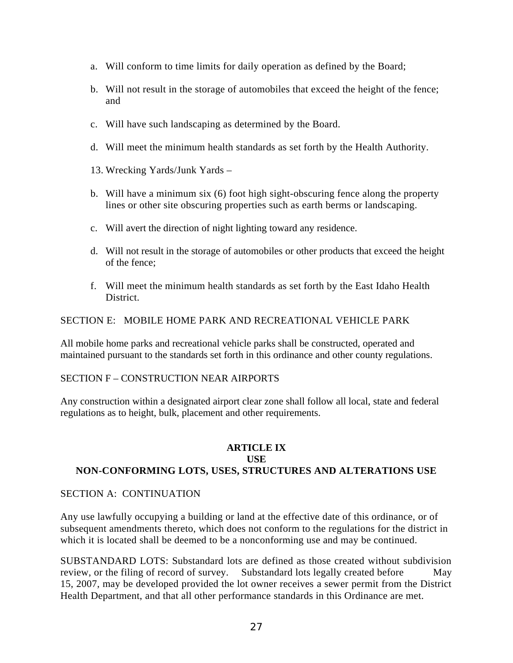- a. Will conform to time limits for daily operation as defined by the Board;
- b. Will not result in the storage of automobiles that exceed the height of the fence; and
- c. Will have such landscaping as determined by the Board.
- d. Will meet the minimum health standards as set forth by the Health Authority.
- 13. Wrecking Yards/Junk Yards –
- b. Will have a minimum six (6) foot high sight-obscuring fence along the property lines or other site obscuring properties such as earth berms or landscaping.
- c. Will avert the direction of night lighting toward any residence.
- d. Will not result in the storage of automobiles or other products that exceed the height of the fence;
- f. Will meet the minimum health standards as set forth by the East Idaho Health District.

### SECTION E: MOBILE HOME PARK AND RECREATIONAL VEHICLE PARK

All mobile home parks and recreational vehicle parks shall be constructed, operated and maintained pursuant to the standards set forth in this ordinance and other county regulations.

#### SECTION F – CONSTRUCTION NEAR AIRPORTS

Any construction within a designated airport clear zone shall follow all local, state and federal regulations as to height, bulk, placement and other requirements.

## **ARTICLE IX USE NON-CONFORMING LOTS, USES, STRUCTURES AND ALTERATIONS USE**

#### SECTION A: CONTINUATION

Any use lawfully occupying a building or land at the effective date of this ordinance, or of subsequent amendments thereto, which does not conform to the regulations for the district in which it is located shall be deemed to be a nonconforming use and may be continued.

SUBSTANDARD LOTS: Substandard lots are defined as those created without subdivision review, or the filing of record of survey. Substandard lots legally created before May 15, 2007, may be developed provided the lot owner receives a sewer permit from the District Health Department, and that all other performance standards in this Ordinance are met.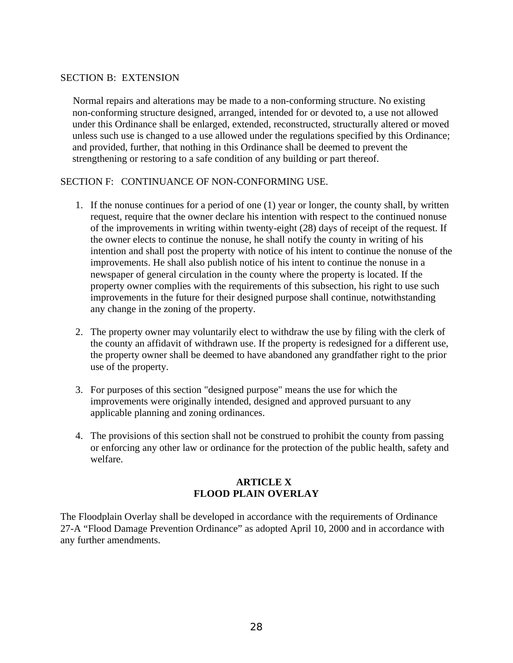### SECTION B: EXTENSION

 Normal repairs and alterations may be made to a non-conforming structure. No existing non-conforming structure designed, arranged, intended for or devoted to, a use not allowed under this Ordinance shall be enlarged, extended, reconstructed, structurally altered or moved unless such use is changed to a use allowed under the regulations specified by this Ordinance; and provided, further, that nothing in this Ordinance shall be deemed to prevent the strengthening or restoring to a safe condition of any building or part thereof.

#### SECTION F: CONTINUANCE OF NON-CONFORMING USE.

- 1. If the nonuse continues for a period of one (1) year or longer, the county shall, by written request, require that the owner declare his intention with respect to the continued nonuse of the improvements in writing within twenty-eight (28) days of receipt of the request. If the owner elects to continue the nonuse, he shall notify the county in writing of his intention and shall post the property with notice of his intent to continue the nonuse of the improvements. He shall also publish notice of his intent to continue the nonuse in a newspaper of general circulation in the county where the property is located. If the property owner complies with the requirements of this subsection, his right to use such improvements in the future for their designed purpose shall continue, notwithstanding any change in the zoning of the property.
- 2. The property owner may voluntarily elect to withdraw the use by filing with the clerk of the county an affidavit of withdrawn use. If the property is redesigned for a different use, the property owner shall be deemed to have abandoned any grandfather right to the prior use of the property.
- 3. For purposes of this section "designed purpose" means the use for which the improvements were originally intended, designed and approved pursuant to any applicable planning and zoning ordinances.
- 4. The provisions of this section shall not be construed to prohibit the county from passing or enforcing any other law or ordinance for the protection of the public health, safety and welfare.

## **ARTICLE X FLOOD PLAIN OVERLAY**

The Floodplain Overlay shall be developed in accordance with the requirements of Ordinance 27-A "Flood Damage Prevention Ordinance" as adopted April 10, 2000 and in accordance with any further amendments.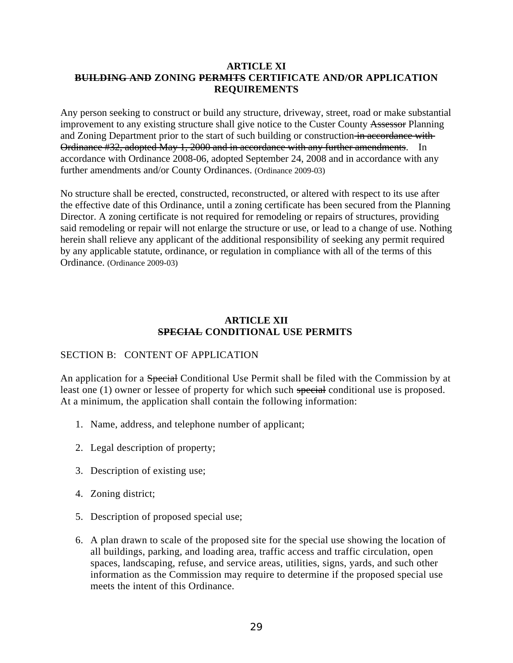#### **ARTICLE XI BUILDING AND ZONING PERMITS CERTIFICATE AND/OR APPLICATION REQUIREMENTS**

Any person seeking to construct or build any structure, driveway, street, road or make substantial improvement to any existing structure shall give notice to the Custer County Assessor Planning and Zoning Department prior to the start of such building or construction in accordance with Ordinance #32, adopted May 1, 2000 and in accordance with any further amendments. In accordance with Ordinance 2008-06, adopted September 24, 2008 and in accordance with any further amendments and/or County Ordinances. (Ordinance 2009-03)

No structure shall be erected, constructed, reconstructed, or altered with respect to its use after the effective date of this Ordinance, until a zoning certificate has been secured from the Planning Director. A zoning certificate is not required for remodeling or repairs of structures, providing said remodeling or repair will not enlarge the structure or use, or lead to a change of use. Nothing herein shall relieve any applicant of the additional responsibility of seeking any permit required by any applicable statute, ordinance, or regulation in compliance with all of the terms of this Ordinance. (Ordinance 2009-03)

### **ARTICLE XII SPECIAL CONDITIONAL USE PERMITS**

# SECTION B: CONTENT OF APPLICATION

An application for a Special Conditional Use Permit shall be filed with the Commission by at least one (1) owner or lessee of property for which such special conditional use is proposed. At a minimum, the application shall contain the following information:

- 1. Name, address, and telephone number of applicant;
- 2. Legal description of property;
- 3. Description of existing use;
- 4. Zoning district;
- 5. Description of proposed special use;
- 6. A plan drawn to scale of the proposed site for the special use showing the location of all buildings, parking, and loading area, traffic access and traffic circulation, open spaces, landscaping, refuse, and service areas, utilities, signs, yards, and such other information as the Commission may require to determine if the proposed special use meets the intent of this Ordinance.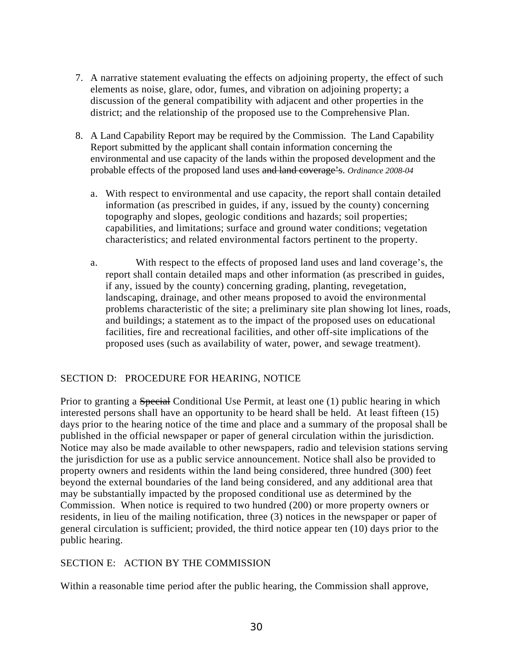- 7. A narrative statement evaluating the effects on adjoining property, the effect of such elements as noise, glare, odor, fumes, and vibration on adjoining property; a discussion of the general compatibility with adjacent and other properties in the district; and the relationship of the proposed use to the Comprehensive Plan.
- 8. A Land Capability Report may be required by the Commission. The Land Capability Report submitted by the applicant shall contain information concerning the environmental and use capacity of the lands within the proposed development and the probable effects of the proposed land uses and land coverage's. *Ordinance 2008-04*
	- a. With respect to environmental and use capacity, the report shall contain detailed information (as prescribed in guides, if any, issued by the county) concerning topography and slopes, geologic conditions and hazards; soil properties; capabilities, and limitations; surface and ground water conditions; vegetation characteristics; and related environmental factors pertinent to the property.
	- a. With respect to the effects of proposed land uses and land coverage's, the report shall contain detailed maps and other information (as prescribed in guides, if any, issued by the county) concerning grading, planting, revegetation, landscaping, drainage, and other means proposed to avoid the environmental problems characteristic of the site; a preliminary site plan showing lot lines, roads, and buildings; a statement as to the impact of the proposed uses on educational facilities, fire and recreational facilities, and other off-site implications of the proposed uses (such as availability of water, power, and sewage treatment).

## SECTION D: PROCEDURE FOR HEARING, NOTICE

Prior to granting a Special Conditional Use Permit, at least one (1) public hearing in which interested persons shall have an opportunity to be heard shall be held. At least fifteen (15) days prior to the hearing notice of the time and place and a summary of the proposal shall be published in the official newspaper or paper of general circulation within the jurisdiction. Notice may also be made available to other newspapers, radio and television stations serving the jurisdiction for use as a public service announcement. Notice shall also be provided to property owners and residents within the land being considered, three hundred (300) feet beyond the external boundaries of the land being considered, and any additional area that may be substantially impacted by the proposed conditional use as determined by the Commission. When notice is required to two hundred (200) or more property owners or residents, in lieu of the mailing notification, three (3) notices in the newspaper or paper of general circulation is sufficient; provided, the third notice appear ten (10) days prior to the public hearing.

## SECTION E: ACTION BY THE COMMISSION

Within a reasonable time period after the public hearing, the Commission shall approve,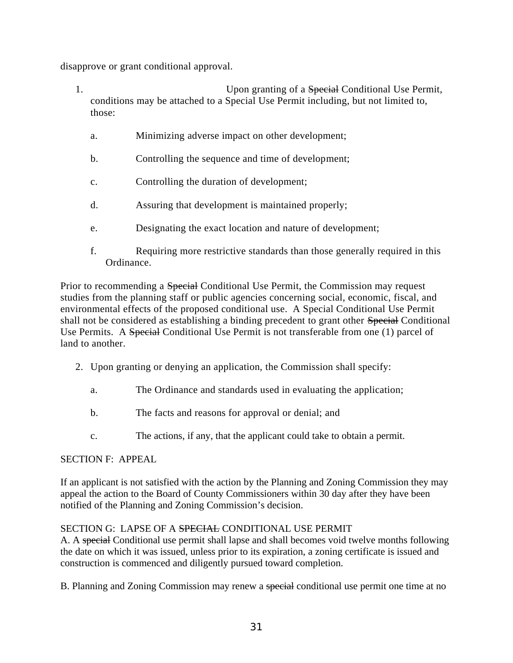disapprove or grant conditional approval.

- 1. **1.** The same of a *Special* Conditional Use Permit, 1. conditions may be attached to a Special Use Permit including, but not limited to, those:
	- a. Minimizing adverse impact on other development;
	- b. Controlling the sequence and time of development;
	- c. Controlling the duration of development;
	- d. Assuring that development is maintained properly;
	- e. Designating the exact location and nature of development;
	- f. Requiring more restrictive standards than those generally required in this Ordinance.

Prior to recommending a Special Conditional Use Permit, the Commission may request studies from the planning staff or public agencies concerning social, economic, fiscal, and environmental effects of the proposed conditional use. A Special Conditional Use Permit shall not be considered as establishing a binding precedent to grant other Special Conditional Use Permits. A Special Conditional Use Permit is not transferable from one (1) parcel of land to another.

- 2. Upon granting or denying an application, the Commission shall specify:
	- a. The Ordinance and standards used in evaluating the application;
	- b. The facts and reasons for approval or denial; and
	- c. The actions, if any, that the applicant could take to obtain a permit.

## SECTION F: APPEAL

If an applicant is not satisfied with the action by the Planning and Zoning Commission they may appeal the action to the Board of County Commissioners within 30 day after they have been notified of the Planning and Zoning Commission's decision.

# SECTION G: LAPSE OF A SPECIAL CONDITIONAL USE PERMIT

A. A special Conditional use permit shall lapse and shall becomes void twelve months following the date on which it was issued, unless prior to its expiration, a zoning certificate is issued and construction is commenced and diligently pursued toward completion.

B. Planning and Zoning Commission may renew a special conditional use permit one time at no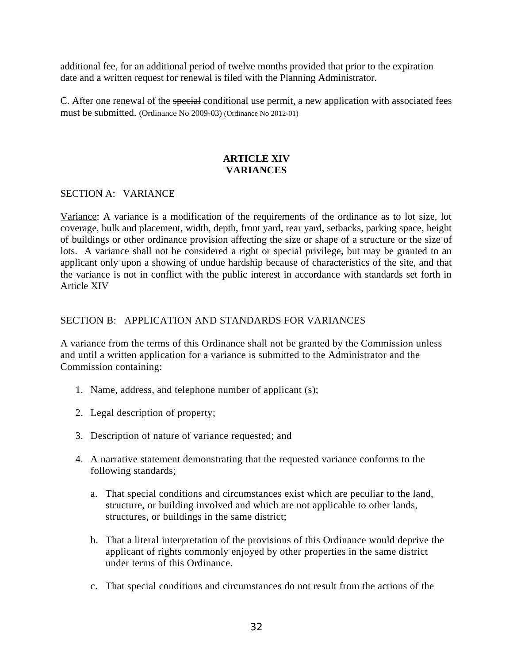additional fee, for an additional period of twelve months provided that prior to the expiration date and a written request for renewal is filed with the Planning Administrator.

C. After one renewal of the special conditional use permit, a new application with associated fees must be submitted. (Ordinance No 2009-03) (Ordinance No 2012-01)

# **ARTICLE XIV VARIANCES**

### SECTION A: VARIANCE

Variance: A variance is a modification of the requirements of the ordinance as to lot size, lot coverage, bulk and placement, width, depth, front yard, rear yard, setbacks, parking space, height of buildings or other ordinance provision affecting the size or shape of a structure or the size of lots. A variance shall not be considered a right or special privilege, but may be granted to an applicant only upon a showing of undue hardship because of characteristics of the site, and that the variance is not in conflict with the public interest in accordance with standards set forth in Article XIV

### SECTION B: APPLICATION AND STANDARDS FOR VARIANCES

A variance from the terms of this Ordinance shall not be granted by the Commission unless and until a written application for a variance is submitted to the Administrator and the Commission containing:

- 1. Name, address, and telephone number of applicant (s);
- 2. Legal description of property;
- 3. Description of nature of variance requested; and
- 4. A narrative statement demonstrating that the requested variance conforms to the following standards;
	- a. That special conditions and circumstances exist which are peculiar to the land, structure, or building involved and which are not applicable to other lands, structures, or buildings in the same district;
	- b. That a literal interpretation of the provisions of this Ordinance would deprive the applicant of rights commonly enjoyed by other properties in the same district under terms of this Ordinance.
	- c. That special conditions and circumstances do not result from the actions of the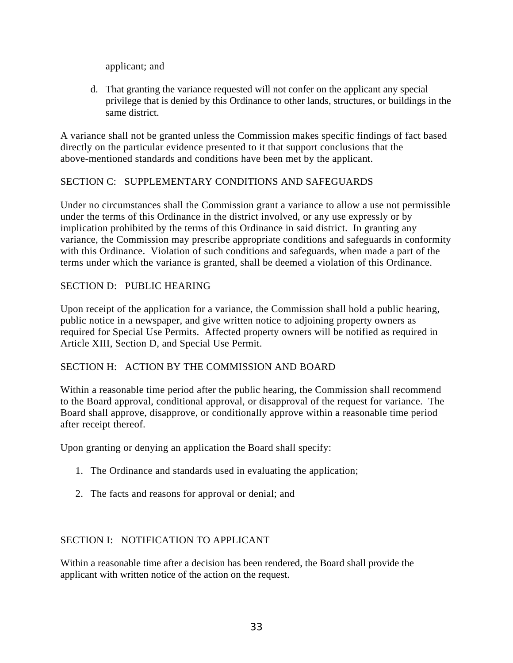applicant; and

d. That granting the variance requested will not confer on the applicant any special privilege that is denied by this Ordinance to other lands, structures, or buildings in the same district.

A variance shall not be granted unless the Commission makes specific findings of fact based directly on the particular evidence presented to it that support conclusions that the above-mentioned standards and conditions have been met by the applicant.

# SECTION C: SUPPLEMENTARY CONDITIONS AND SAFEGUARDS

Under no circumstances shall the Commission grant a variance to allow a use not permissible under the terms of this Ordinance in the district involved, or any use expressly or by implication prohibited by the terms of this Ordinance in said district. In granting any variance, the Commission may prescribe appropriate conditions and safeguards in conformity with this Ordinance. Violation of such conditions and safeguards, when made a part of the terms under which the variance is granted, shall be deemed a violation of this Ordinance.

# SECTION D: PUBLIC HEARING

Upon receipt of the application for a variance, the Commission shall hold a public hearing, public notice in a newspaper, and give written notice to adjoining property owners as required for Special Use Permits. Affected property owners will be notified as required in Article XIII, Section D, and Special Use Permit.

## SECTION H: ACTION BY THE COMMISSION AND BOARD

Within a reasonable time period after the public hearing, the Commission shall recommend to the Board approval, conditional approval, or disapproval of the request for variance. The Board shall approve, disapprove, or conditionally approve within a reasonable time period after receipt thereof.

Upon granting or denying an application the Board shall specify:

- 1. The Ordinance and standards used in evaluating the application;
- 2. The facts and reasons for approval or denial; and

# SECTION I: NOTIFICATION TO APPLICANT

Within a reasonable time after a decision has been rendered, the Board shall provide the applicant with written notice of the action on the request.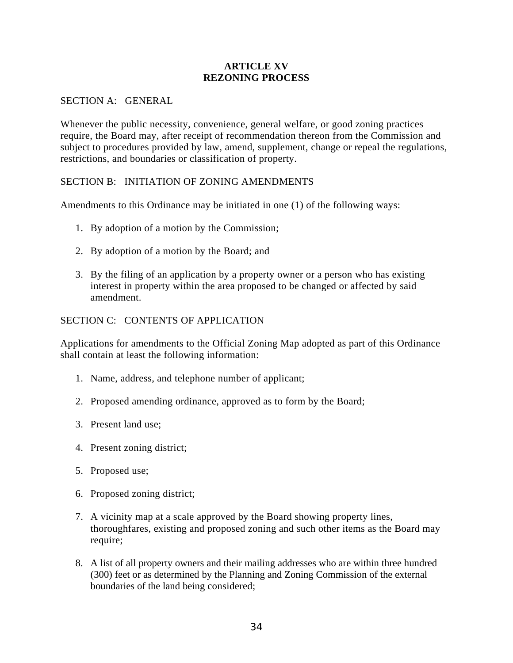## **ARTICLE XV REZONING PROCESS**

#### SECTION A: GENERAL

Whenever the public necessity, convenience, general welfare, or good zoning practices require, the Board may, after receipt of recommendation thereon from the Commission and subject to procedures provided by law, amend, supplement, change or repeal the regulations, restrictions, and boundaries or classification of property.

## SECTION B: INITIATION OF ZONING AMENDMENTS

Amendments to this Ordinance may be initiated in one (1) of the following ways:

- 1. By adoption of a motion by the Commission;
- 2. By adoption of a motion by the Board; and
- 3. By the filing of an application by a property owner or a person who has existing interest in property within the area proposed to be changed or affected by said amendment.

### SECTION C: CONTENTS OF APPLICATION

Applications for amendments to the Official Zoning Map adopted as part of this Ordinance shall contain at least the following information:

- 1. Name, address, and telephone number of applicant;
- 2. Proposed amending ordinance, approved as to form by the Board;
- 3. Present land use;
- 4. Present zoning district;
- 5. Proposed use;
- 6. Proposed zoning district;
- 7. A vicinity map at a scale approved by the Board showing property lines, thoroughfares, existing and proposed zoning and such other items as the Board may require;
- 8. A list of all property owners and their mailing addresses who are within three hundred (300) feet or as determined by the Planning and Zoning Commission of the external boundaries of the land being considered;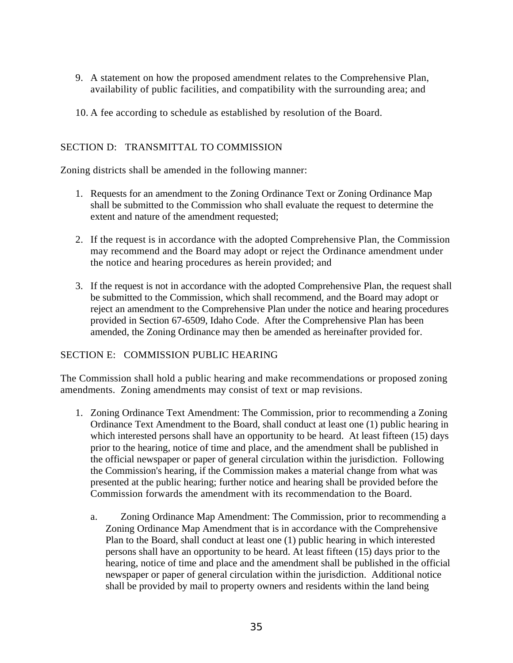- 9. A statement on how the proposed amendment relates to the Comprehensive Plan, availability of public facilities, and compatibility with the surrounding area; and
- 10. A fee according to schedule as established by resolution of the Board.

# SECTION D: TRANSMITTAL TO COMMISSION

Zoning districts shall be amended in the following manner:

- 1. Requests for an amendment to the Zoning Ordinance Text or Zoning Ordinance Map shall be submitted to the Commission who shall evaluate the request to determine the extent and nature of the amendment requested;
- 2. If the request is in accordance with the adopted Comprehensive Plan, the Commission may recommend and the Board may adopt or reject the Ordinance amendment under the notice and hearing procedures as herein provided; and
- 3. If the request is not in accordance with the adopted Comprehensive Plan, the request shall be submitted to the Commission, which shall recommend, and the Board may adopt or reject an amendment to the Comprehensive Plan under the notice and hearing procedures provided in Section 67-6509, Idaho Code. After the Comprehensive Plan has been amended, the Zoning Ordinance may then be amended as hereinafter provided for.

# SECTION E: COMMISSION PUBLIC HEARING

The Commission shall hold a public hearing and make recommendations or proposed zoning amendments. Zoning amendments may consist of text or map revisions.

- 1. Zoning Ordinance Text Amendment: The Commission, prior to recommending a Zoning Ordinance Text Amendment to the Board, shall conduct at least one (1) public hearing in which interested persons shall have an opportunity to be heard. At least fifteen (15) days prior to the hearing, notice of time and place, and the amendment shall be published in the official newspaper or paper of general circulation within the jurisdiction. Following the Commission's hearing, if the Commission makes a material change from what was presented at the public hearing; further notice and hearing shall be provided before the Commission forwards the amendment with its recommendation to the Board.
	- a. Zoning Ordinance Map Amendment: The Commission, prior to recommending a Zoning Ordinance Map Amendment that is in accordance with the Comprehensive Plan to the Board, shall conduct at least one (1) public hearing in which interested persons shall have an opportunity to be heard. At least fifteen (15) days prior to the hearing, notice of time and place and the amendment shall be published in the official newspaper or paper of general circulation within the jurisdiction. Additional notice shall be provided by mail to property owners and residents within the land being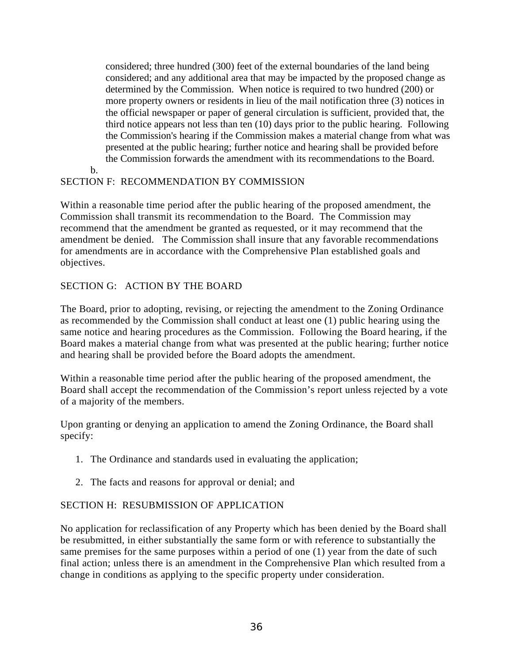considered; three hundred (300) feet of the external boundaries of the land being considered; and any additional area that may be impacted by the proposed change as determined by the Commission. When notice is required to two hundred (200) or more property owners or residents in lieu of the mail notification three (3) notices in the official newspaper or paper of general circulation is sufficient, provided that, the third notice appears not less than ten (10) days prior to the public hearing. Following the Commission's hearing if the Commission makes a material change from what was presented at the public hearing; further notice and hearing shall be provided before the Commission forwards the amendment with its recommendations to the Board.

# SECTION F: RECOMMENDATION BY COMMISSION

Within a reasonable time period after the public hearing of the proposed amendment, the Commission shall transmit its recommendation to the Board. The Commission may recommend that the amendment be granted as requested, or it may recommend that the amendment be denied. The Commission shall insure that any favorable recommendations for amendments are in accordance with the Comprehensive Plan established goals and objectives.

# SECTION G: ACTION BY THE BOARD

b.

The Board, prior to adopting, revising, or rejecting the amendment to the Zoning Ordinance as recommended by the Commission shall conduct at least one (1) public hearing using the same notice and hearing procedures as the Commission. Following the Board hearing, if the Board makes a material change from what was presented at the public hearing; further notice and hearing shall be provided before the Board adopts the amendment.

Within a reasonable time period after the public hearing of the proposed amendment, the Board shall accept the recommendation of the Commission's report unless rejected by a vote of a majority of the members.

Upon granting or denying an application to amend the Zoning Ordinance, the Board shall specify:

- 1. The Ordinance and standards used in evaluating the application;
- 2. The facts and reasons for approval or denial; and

# SECTION H: RESUBMISSION OF APPLICATION

No application for reclassification of any Property which has been denied by the Board shall be resubmitted, in either substantially the same form or with reference to substantially the same premises for the same purposes within a period of one (1) year from the date of such final action; unless there is an amendment in the Comprehensive Plan which resulted from a change in conditions as applying to the specific property under consideration.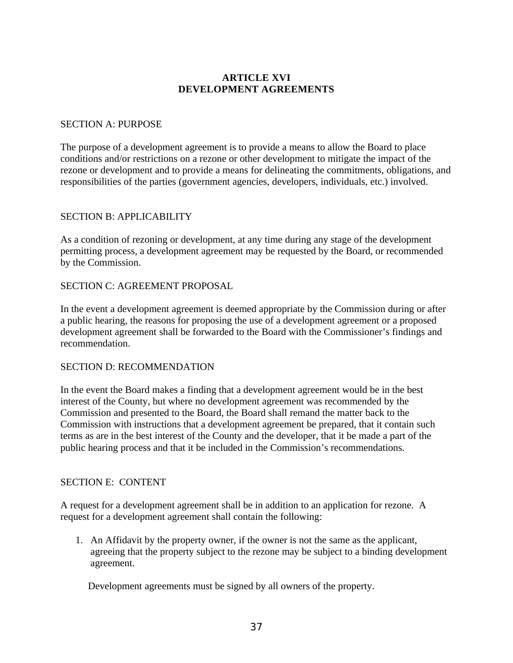# **ARTICLE XVI DEVELOPMENT AGREEMENTS**

### SECTION A: PURPOSE

The purpose of a development agreement is to provide a means to allow the Board to place conditions and/or restrictions on a rezone or other development to mitigate the impact of the rezone or development and to provide a means for delineating the commitments, obligations, and responsibilities of the parties (government agencies, developers, individuals, etc.) involved.

### SECTION B: APPLICABILITY

As a condition of rezoning or development, at any time during any stage of the development permitting process, a development agreement may be requested by the Board, or recommended by the Commission.

### SECTION C: AGREEMENT PROPOSAL

In the event a development agreement is deemed appropriate by the Commission during or after a public hearing, the reasons for proposing the use of a development agreement or a proposed development agreement shall be forwarded to the Board with the Commissioner's findings and recommendation.

#### SECTION D: RECOMMENDATION

In the event the Board makes a finding that a development agreement would be in the best interest of the County, but where no development agreement was recommended by the Commission and presented to the Board, the Board shall remand the matter back to the Commission with instructions that a development agreement be prepared, that it contain such terms as are in the best interest of the County and the developer, that it be made a part of the public hearing process and that it be included in the Commission's recommendations.

#### SECTION E: CONTENT

A request for a development agreement shall be in addition to an application for rezone. A request for a development agreement shall contain the following:

1. An Affidavit by the property owner, if the owner is not the same as the applicant, agreeing that the property subject to the rezone may be subject to a binding development agreement.

Development agreements must be signed by all owners of the property.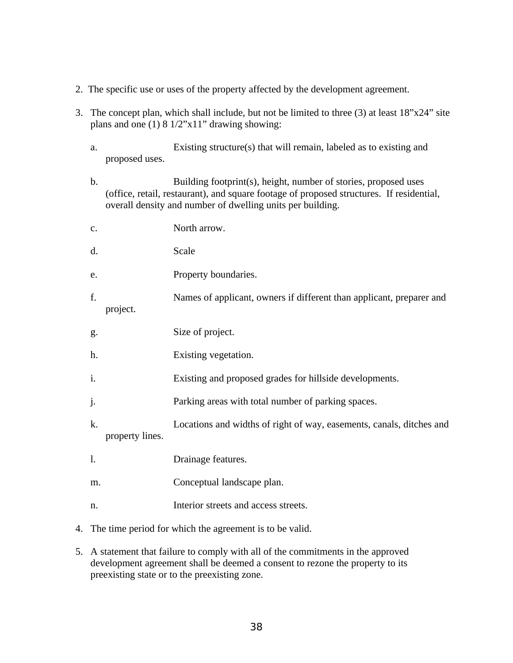- 2. The specific use or uses of the property affected by the development agreement.
- 3. The concept plan, which shall include, but not be limited to three (3) at least 18"x24" site plans and one  $(1)$  8 1/2" $x11$ " drawing showing:
	- a. Existing structure(s) that will remain, labeled as to existing and proposed uses.
	- b. Building footprint(s), height, number of stories, proposed uses (office, retail, restaurant), and square footage of proposed structures. If residential, overall density and number of dwelling units per building.

| c. |                 | North arrow.                                                         |
|----|-----------------|----------------------------------------------------------------------|
| d. |                 | Scale                                                                |
| e. |                 | Property boundaries.                                                 |
| f. | project.        | Names of applicant, owners if different than applicant, preparer and |
| g. |                 | Size of project.                                                     |
| h. |                 | Existing vegetation.                                                 |
| i. |                 | Existing and proposed grades for hillside developments.              |
| j. |                 | Parking areas with total number of parking spaces.                   |
| k. | property lines. | Locations and widths of right of way, easements, canals, ditches and |
| 1. |                 | Drainage features.                                                   |
| m. |                 | Conceptual landscape plan.                                           |
| n. |                 | Interior streets and access streets.                                 |

- 4. The time period for which the agreement is to be valid.
- 5. A statement that failure to comply with all of the commitments in the approved development agreement shall be deemed a consent to rezone the property to its preexisting state or to the preexisting zone.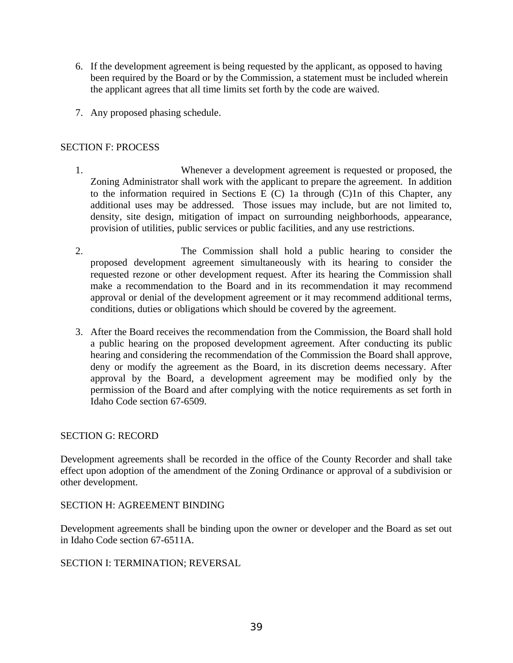- 6. If the development agreement is being requested by the applicant, as opposed to having been required by the Board or by the Commission, a statement must be included wherein the applicant agrees that all time limits set forth by the code are waived.
- 7. Any proposed phasing schedule.

## SECTION F: PROCESS

- 1. Whenever a development agreement is requested or proposed, the Zoning Administrator shall work with the applicant to prepare the agreement. In addition to the information required in Sections E  $(C)$  1a through  $(C)$ 1n of this Chapter, any additional uses may be addressed. Those issues may include, but are not limited to, density, site design, mitigation of impact on surrounding neighborhoods, appearance, provision of utilities, public services or public facilities, and any use restrictions.
- 2. The Commission shall hold a public hearing to consider the proposed development agreement simultaneously with its hearing to consider the requested rezone or other development request. After its hearing the Commission shall make a recommendation to the Board and in its recommendation it may recommend approval or denial of the development agreement or it may recommend additional terms, conditions, duties or obligations which should be covered by the agreement.
- 3. After the Board receives the recommendation from the Commission, the Board shall hold a public hearing on the proposed development agreement. After conducting its public hearing and considering the recommendation of the Commission the Board shall approve, deny or modify the agreement as the Board, in its discretion deems necessary. After approval by the Board, a development agreement may be modified only by the permission of the Board and after complying with the notice requirements as set forth in Idaho Code section 67-6509.

## SECTION G: RECORD

Development agreements shall be recorded in the office of the County Recorder and shall take effect upon adoption of the amendment of the Zoning Ordinance or approval of a subdivision or other development.

## SECTION H: AGREEMENT BINDING

Development agreements shall be binding upon the owner or developer and the Board as set out in Idaho Code section 67-6511A.

#### SECTION I: TERMINATION; REVERSAL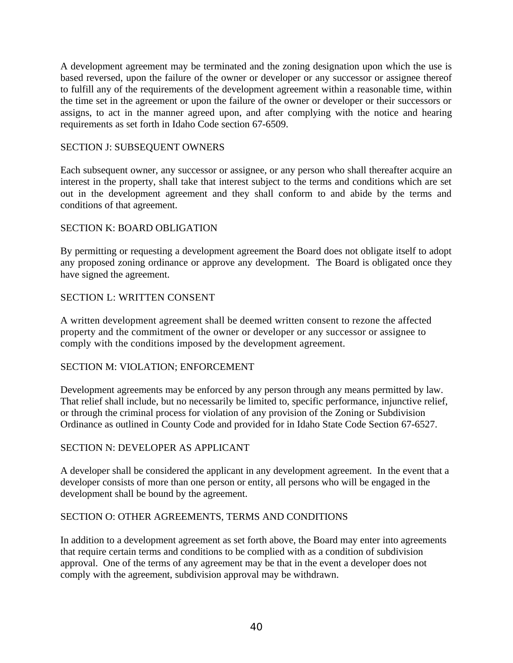A development agreement may be terminated and the zoning designation upon which the use is based reversed, upon the failure of the owner or developer or any successor or assignee thereof to fulfill any of the requirements of the development agreement within a reasonable time, within the time set in the agreement or upon the failure of the owner or developer or their successors or assigns, to act in the manner agreed upon, and after complying with the notice and hearing requirements as set forth in Idaho Code section 67-6509.

## SECTION J: SUBSEQUENT OWNERS

Each subsequent owner, any successor or assignee, or any person who shall thereafter acquire an interest in the property, shall take that interest subject to the terms and conditions which are set out in the development agreement and they shall conform to and abide by the terms and conditions of that agreement.

### SECTION K: BOARD OBLIGATION

By permitting or requesting a development agreement the Board does not obligate itself to adopt any proposed zoning ordinance or approve any development. The Board is obligated once they have signed the agreement.

### SECTION L: WRITTEN CONSENT

A written development agreement shall be deemed written consent to rezone the affected property and the commitment of the owner or developer or any successor or assignee to comply with the conditions imposed by the development agreement.

#### SECTION M: VIOLATION; ENFORCEMENT

Development agreements may be enforced by any person through any means permitted by law. That relief shall include, but no necessarily be limited to, specific performance, injunctive relief, or through the criminal process for violation of any provision of the Zoning or Subdivision Ordinance as outlined in County Code and provided for in Idaho State Code Section 67-6527.

#### SECTION N: DEVELOPER AS APPLICANT

A developer shall be considered the applicant in any development agreement. In the event that a developer consists of more than one person or entity, all persons who will be engaged in the development shall be bound by the agreement.

#### SECTION O: OTHER AGREEMENTS, TERMS AND CONDITIONS

In addition to a development agreement as set forth above, the Board may enter into agreements that require certain terms and conditions to be complied with as a condition of subdivision approval. One of the terms of any agreement may be that in the event a developer does not comply with the agreement, subdivision approval may be withdrawn.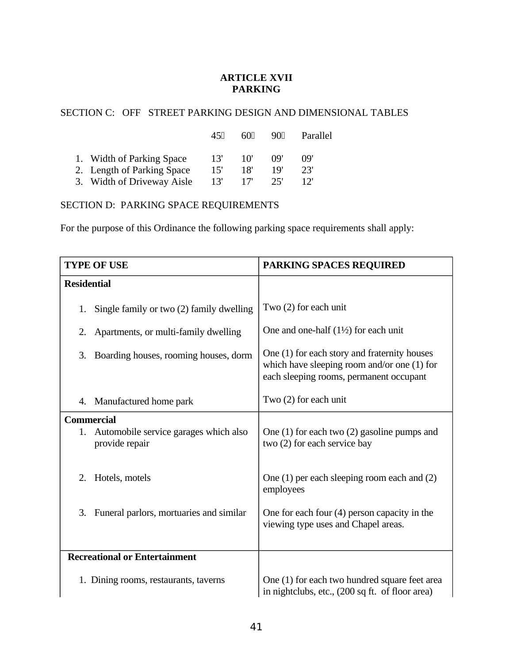# **ARTICLE XVII PARKING**

# SECTION C: OFF STREET PARKING DESIGN AND DIMENSIONAL TABLES

|                            | 4511 | 6011 | 901 | Parallel |
|----------------------------|------|------|-----|----------|
| 1. Width of Parking Space  | -13' | 10'  | ng' | ng'      |
| 2. Length of Parking Space | 15'  | 18'  | 19' | 23'      |
| 3. Width of Driveway Aisle | 13'  |      | 25' |          |

# SECTION D: PARKING SPACE REQUIREMENTS

For the purpose of this Ordinance the following parking space requirements shall apply:

| <b>TYPE OF USE</b>                                                                 | <b>PARKING SPACES REQUIRED</b>                                                                                                           |
|------------------------------------------------------------------------------------|------------------------------------------------------------------------------------------------------------------------------------------|
| <b>Residential</b>                                                                 |                                                                                                                                          |
| Single family or two (2) family dwelling<br>1.                                     | Two (2) for each unit                                                                                                                    |
| 2.<br>Apartments, or multi-family dwelling                                         | One and one-half $(1\frac{1}{2})$ for each unit                                                                                          |
| 3.<br>Boarding houses, rooming houses, dorm                                        | One (1) for each story and fraternity houses<br>which have sleeping room and/or one $(1)$ for<br>each sleeping rooms, permanent occupant |
| Manufactured home park<br>4.                                                       | Two (2) for each unit                                                                                                                    |
| <b>Commercial</b><br>Automobile service garages which also<br>1.<br>provide repair | One $(1)$ for each two $(2)$ gasoline pumps and<br>two (2) for each service bay                                                          |
| Hotels, motels<br>2.                                                               | One (1) per each sleeping room each and (2)<br>employees                                                                                 |
| Funeral parlors, mortuaries and similar<br>3.                                      | One for each four $(4)$ person capacity in the<br>viewing type uses and Chapel areas.                                                    |
| <b>Recreational or Entertainment</b>                                               |                                                                                                                                          |
| 1. Dining rooms, restaurants, taverns                                              | One (1) for each two hundred square feet area<br>in nightclubs, etc., (200 sq ft. of floor area)                                         |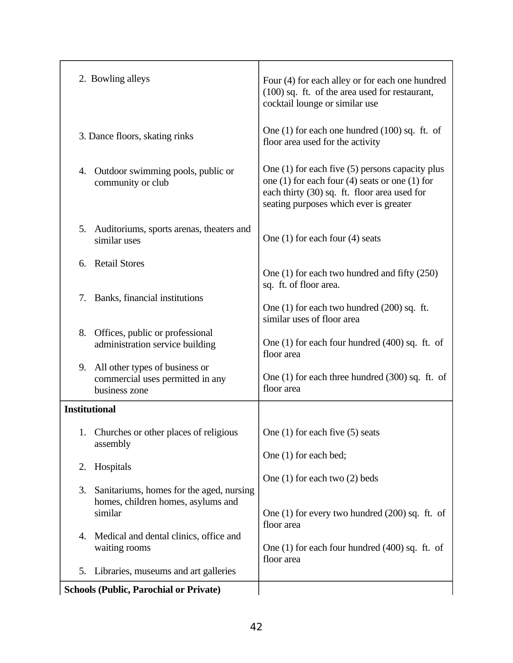| 4. | Medical and dental clinics, office and<br>waiting rooms                             | One (1) for each four hundred (400) sq. ft. of<br>floor area                                                                                                                                      |
|----|-------------------------------------------------------------------------------------|---------------------------------------------------------------------------------------------------------------------------------------------------------------------------------------------------|
|    | homes, children homes, asylums and<br>similar                                       | One (1) for every two hundred (200) sq. ft. of<br>floor area                                                                                                                                      |
| 3. | Sanitariums, homes for the aged, nursing                                            | One $(1)$ for each two $(2)$ beds                                                                                                                                                                 |
| 2. | assembly<br>Hospitals                                                               | One (1) for each bed;                                                                                                                                                                             |
|    | 1. Churches or other places of religious                                            | One $(1)$ for each five $(5)$ seats                                                                                                                                                               |
|    | <b>Institutional</b>                                                                |                                                                                                                                                                                                   |
| 9. | All other types of business or<br>commercial uses permitted in any<br>business zone | One (1) for each three hundred (300) sq. ft. of<br>floor area                                                                                                                                     |
| 8. | Offices, public or professional<br>administration service building                  | One $(1)$ for each four hundred $(400)$ sq. ft. of<br>floor area                                                                                                                                  |
| 7. | Banks, financial institutions                                                       | One (1) for each two hundred (200) sq. ft.<br>similar uses of floor area                                                                                                                          |
| 6. | <b>Retail Stores</b>                                                                | One (1) for each two hundred and fifty (250)<br>sq. ft. of floor area.                                                                                                                            |
| 5. | Auditoriums, sports arenas, theaters and<br>similar uses                            | One $(1)$ for each four $(4)$ seats                                                                                                                                                               |
| 4. | Outdoor swimming pools, public or<br>community or club                              | One (1) for each five (5) persons capacity plus<br>one $(1)$ for each four $(4)$ seats or one $(1)$ for<br>each thirty (30) sq. ft. floor area used for<br>seating purposes which ever is greater |
|    | 3. Dance floors, skating rinks                                                      | One $(1)$ for each one hundred $(100)$ sq. ft. of<br>floor area used for the activity                                                                                                             |
|    | 2. Bowling alleys                                                                   | Four (4) for each alley or for each one hundred<br>(100) sq. ft. of the area used for restaurant,<br>cocktail lounge or similar use                                                               |
|    |                                                                                     |                                                                                                                                                                                                   |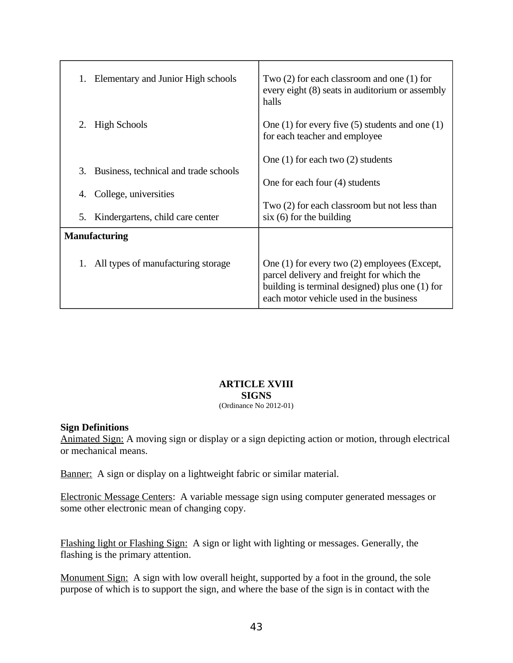| 1.                   | Elementary and Junior High schools    | Two $(2)$ for each classroom and one $(1)$ for<br>every eight (8) seats in auditorium or assembly<br>halls                                                                              |
|----------------------|---------------------------------------|-----------------------------------------------------------------------------------------------------------------------------------------------------------------------------------------|
| 2.                   | <b>High Schools</b>                   | One $(1)$ for every five $(5)$ students and one $(1)$<br>for each teacher and employee                                                                                                  |
|                      |                                       | One $(1)$ for each two $(2)$ students                                                                                                                                                   |
| 3.                   | Business, technical and trade schools |                                                                                                                                                                                         |
|                      |                                       | One for each four (4) students                                                                                                                                                          |
| 4.                   | College, universities                 |                                                                                                                                                                                         |
| 5.                   | Kindergartens, child care center      | Two (2) for each classroom but not less than<br>$six(6)$ for the building                                                                                                               |
| <b>Manufacturing</b> |                                       |                                                                                                                                                                                         |
|                      | All types of manufacturing storage    | One (1) for every two (2) employees (Except,<br>parcel delivery and freight for which the<br>building is terminal designed) plus one (1) for<br>each motor vehicle used in the business |

# **ARTICLE XVIII SIGNS**

# (Ordinance No 2012-01)

#### **Sign Definitions**

Animated Sign: A moving sign or display or a sign depicting action or motion, through electrical or mechanical means.

Banner: A sign or display on a lightweight fabric or similar material.

Electronic Message Centers: A variable message sign using computer generated messages or some other electronic mean of changing copy.

Flashing light or Flashing Sign: A sign or light with lighting or messages. Generally, the flashing is the primary attention.

Monument Sign: A sign with low overall height, supported by a foot in the ground, the sole purpose of which is to support the sign, and where the base of the sign is in contact with the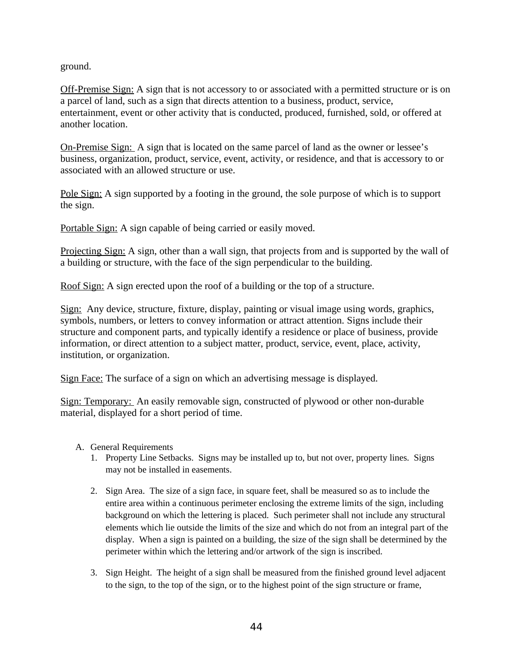ground.

Off-Premise Sign: A sign that is not accessory to or associated with a permitted structure or is on a parcel of land, such as a sign that directs attention to a business, product, service, entertainment, event or other activity that is conducted, produced, furnished, sold, or offered at another location.

On-Premise Sign: A sign that is located on the same parcel of land as the owner or lessee's business, organization, product, service, event, activity, or residence, and that is accessory to or associated with an allowed structure or use.

Pole Sign: A sign supported by a footing in the ground, the sole purpose of which is to support the sign.

Portable Sign: A sign capable of being carried or easily moved.

Projecting Sign: A sign, other than a wall sign, that projects from and is supported by the wall of a building or structure, with the face of the sign perpendicular to the building.

Roof Sign: A sign erected upon the roof of a building or the top of a structure.

Sign: Any device, structure, fixture, display, painting or visual image using words, graphics, symbols, numbers, or letters to convey information or attract attention. Signs include their structure and component parts, and typically identify a residence or place of business, provide information, or direct attention to a subject matter, product, service, event, place, activity, institution, or organization.

Sign Face: The surface of a sign on which an advertising message is displayed.

Sign: Temporary: An easily removable sign, constructed of plywood or other non-durable material, displayed for a short period of time.

- A. General Requirements
	- 1. Property Line Setbacks. Signs may be installed up to, but not over, property lines. Signs may not be installed in easements.
	- 2. Sign Area. The size of a sign face, in square feet, shall be measured so as to include the entire area within a continuous perimeter enclosing the extreme limits of the sign, including background on which the lettering is placed. Such perimeter shall not include any structural elements which lie outside the limits of the size and which do not from an integral part of the display. When a sign is painted on a building, the size of the sign shall be determined by the perimeter within which the lettering and/or artwork of the sign is inscribed.
	- 3. Sign Height. The height of a sign shall be measured from the finished ground level adjacent to the sign, to the top of the sign, or to the highest point of the sign structure or frame,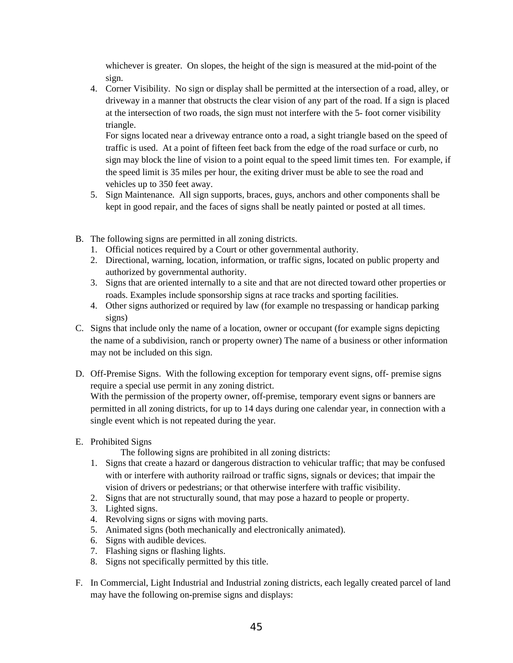whichever is greater. On slopes, the height of the sign is measured at the mid-point of the sign.

4. Corner Visibility. No sign or display shall be permitted at the intersection of a road, alley, or driveway in a manner that obstructs the clear vision of any part of the road. If a sign is placed at the intersection of two roads, the sign must not interfere with the 5- foot corner visibility triangle.

For signs located near a driveway entrance onto a road, a sight triangle based on the speed of traffic is used. At a point of fifteen feet back from the edge of the road surface or curb, no sign may block the line of vision to a point equal to the speed limit times ten. For example, if the speed limit is 35 miles per hour, the exiting driver must be able to see the road and vehicles up to 350 feet away.

- 5. Sign Maintenance. All sign supports, braces, guys, anchors and other components shall be kept in good repair, and the faces of signs shall be neatly painted or posted at all times.
- B. The following signs are permitted in all zoning districts.
	- 1. Official notices required by a Court or other governmental authority.
	- 2. Directional, warning, location, information, or traffic signs, located on public property and authorized by governmental authority.
	- 3. Signs that are oriented internally to a site and that are not directed toward other properties or roads. Examples include sponsorship signs at race tracks and sporting facilities.
	- 4. Other signs authorized or required by law (for example no trespassing or handicap parking signs)
- C. Signs that include only the name of a location, owner or occupant (for example signs depicting the name of a subdivision, ranch or property owner) The name of a business or other information may not be included on this sign.
- D. Off-Premise Signs. With the following exception for temporary event signs, off- premise signs require a special use permit in any zoning district.

With the permission of the property owner, off-premise, temporary event signs or banners are permitted in all zoning districts, for up to 14 days during one calendar year, in connection with a single event which is not repeated during the year.

E. Prohibited Signs

The following signs are prohibited in all zoning districts:

- 1. Signs that create a hazard or dangerous distraction to vehicular traffic; that may be confused with or interfere with authority railroad or traffic signs, signals or devices; that impair the vision of drivers or pedestrians; or that otherwise interfere with traffic visibility.
- 2. Signs that are not structurally sound, that may pose a hazard to people or property.
- 3. Lighted signs.
- 4. Revolving signs or signs with moving parts.
- 5. Animated signs (both mechanically and electronically animated).
- 6. Signs with audible devices.
- 7. Flashing signs or flashing lights.
- 8. Signs not specifically permitted by this title.
- F. In Commercial, Light Industrial and Industrial zoning districts, each legally created parcel of land may have the following on-premise signs and displays: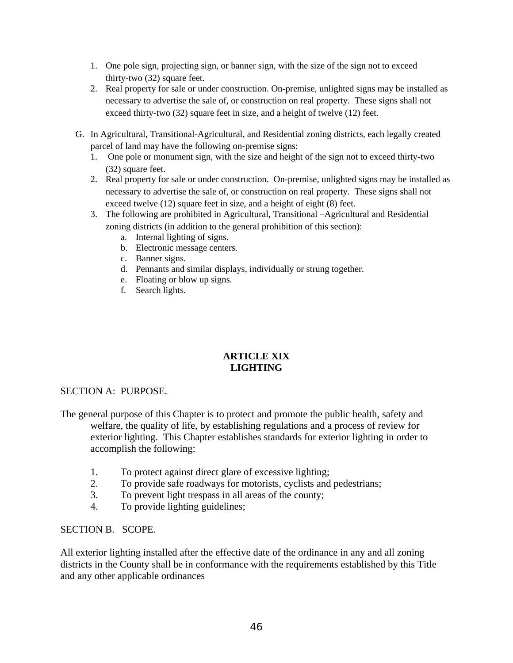- 1. One pole sign, projecting sign, or banner sign, with the size of the sign not to exceed thirty-two (32) square feet.
- 2. Real property for sale or under construction. On-premise, unlighted signs may be installed as necessary to advertise the sale of, or construction on real property. These signs shall not exceed thirty-two (32) square feet in size, and a height of twelve (12) feet.
- G. In Agricultural, Transitional-Agricultural, and Residential zoning districts, each legally created parcel of land may have the following on-premise signs:
	- 1. One pole or monument sign, with the size and height of the sign not to exceed thirty-two (32) square feet.
	- 2. Real property for sale or under construction. On-premise, unlighted signs may be installed as necessary to advertise the sale of, or construction on real property. These signs shall not exceed twelve (12) square feet in size, and a height of eight (8) feet.
	- 3. The following are prohibited in Agricultural, Transitional –Agricultural and Residential zoning districts (in addition to the general prohibition of this section):
		- a. Internal lighting of signs.
		- b. Electronic message centers.
		- c. Banner signs.
		- d. Pennants and similar displays, individually or strung together.
		- e. Floating or blow up signs.
		- f. Search lights.

### **ARTICLE XIX LIGHTING**

## SECTION A: PURPOSE.

The general purpose of this Chapter is to protect and promote the public health, safety and welfare, the quality of life, by establishing regulations and a process of review for exterior lighting. This Chapter establishes standards for exterior lighting in order to accomplish the following:

- 1. To protect against direct glare of excessive lighting;
- 2. To provide safe roadways for motorists, cyclists and pedestrians;
- 3. To prevent light trespass in all areas of the county;
- 4. To provide lighting guidelines;

#### SECTION B. SCOPE.

All exterior lighting installed after the effective date of the ordinance in any and all zoning districts in the County shall be in conformance with the requirements established by this Title and any other applicable ordinances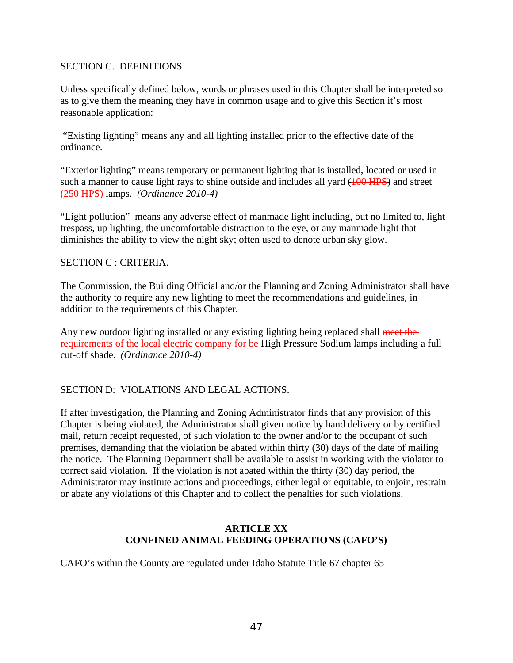### SECTION C. DEFINITIONS

Unless specifically defined below, words or phrases used in this Chapter shall be interpreted so as to give them the meaning they have in common usage and to give this Section it's most reasonable application:

 "Existing lighting" means any and all lighting installed prior to the effective date of the ordinance.

"Exterior lighting" means temporary or permanent lighting that is installed, located or used in such a manner to cause light rays to shine outside and includes all yard (100 HPS) and street (250 HPS) lamps*. (Ordinance 2010-4)*

"Light pollution" means any adverse effect of manmade light including, but no limited to, light trespass, up lighting, the uncomfortable distraction to the eye, or any manmade light that diminishes the ability to view the night sky; often used to denote urban sky glow.

#### SECTION C : CRITERIA.

The Commission, the Building Official and/or the Planning and Zoning Administrator shall have the authority to require any new lighting to meet the recommendations and guidelines, in addition to the requirements of this Chapter.

Any new outdoor lighting installed or any existing lighting being replaced shall meet the requirements of the local electric company for be High Pressure Sodium lamps including a full cut-off shade. *(Ordinance 2010-4)*

## SECTION D: VIOLATIONS AND LEGAL ACTIONS.

If after investigation, the Planning and Zoning Administrator finds that any provision of this Chapter is being violated, the Administrator shall given notice by hand delivery or by certified mail, return receipt requested, of such violation to the owner and/or to the occupant of such premises, demanding that the violation be abated within thirty (30) days of the date of mailing the notice. The Planning Department shall be available to assist in working with the violator to correct said violation. If the violation is not abated within the thirty (30) day period, the Administrator may institute actions and proceedings, either legal or equitable, to enjoin, restrain or abate any violations of this Chapter and to collect the penalties for such violations.

### **ARTICLE XX CONFINED ANIMAL FEEDING OPERATIONS (CAFO'S)**

CAFO's within the County are regulated under Idaho Statute Title 67 chapter 65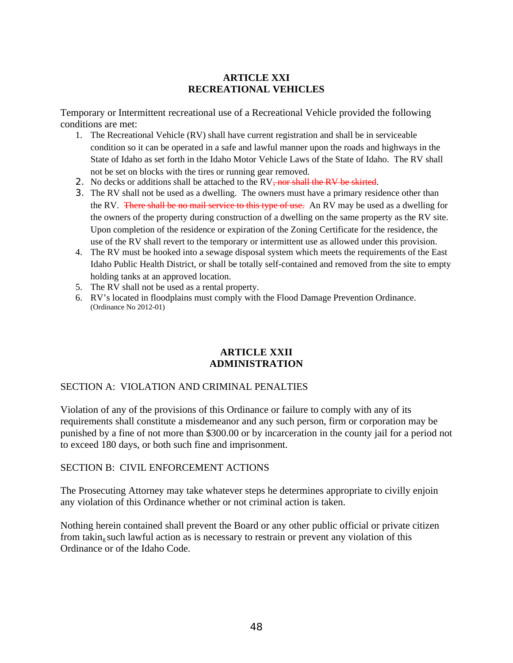## **ARTICLE XXI RECREATIONAL VEHICLES**

Temporary or Intermittent recreational use of a Recreational Vehicle provided the following conditions are met:

- 1. The Recreational Vehicle (RV) shall have current registration and shall be in serviceable condition so it can be operated in a safe and lawful manner upon the roads and highways in the State of Idaho as set forth in the Idaho Motor Vehicle Laws of the State of Idaho. The RV shall not be set on blocks with the tires or running gear removed.
- 2. No decks or additions shall be attached to the RV<del>, nor shall the RV be skirted</del>.
- 3. The RV shall not be used as a dwelling. The owners must have a primary residence other than the RV. There shall be no mail service to this type of use. An RV may be used as a dwelling for the owners of the property during construction of a dwelling on the same property as the RV site. Upon completion of the residence or expiration of the Zoning Certificate for the residence, the use of the RV shall revert to the temporary or intermittent use as allowed under this provision.
- 4. The RV must be hooked into a sewage disposal system which meets the requirements of the East Idaho Public Health District, or shall be totally self-contained and removed from the site to empty holding tanks at an approved location.
- 5. The RV shall not be used as a rental property.
- 6. RV's located in floodplains must comply with the Flood Damage Prevention Ordinance. (Ordinance No 2012-01)

### **ARTICLE XXII ADMINISTRATION**

## SECTION A: VIOLATION AND CRIMINAL PENALTIES

Violation of any of the provisions of this Ordinance or failure to comply with any of its requirements shall constitute a misdemeanor and any such person, firm or corporation may be punished by a fine of not more than \$300.00 or by incarceration in the county jail for a period not to exceed 180 days, or both such fine and imprisonment.

#### SECTION B: CIVIL ENFORCEMENT ACTIONS

The Prosecuting Attorney may take whatever steps he determines appropriate to civilly enjoin any violation of this Ordinance whether or not criminal action is taken.

Nothing herein contained shall prevent the Board or any other public official or private citizen from takin<sub>g</sub> such lawful action as is necessary to restrain or prevent any violation of this Ordinance or of the Idaho Code.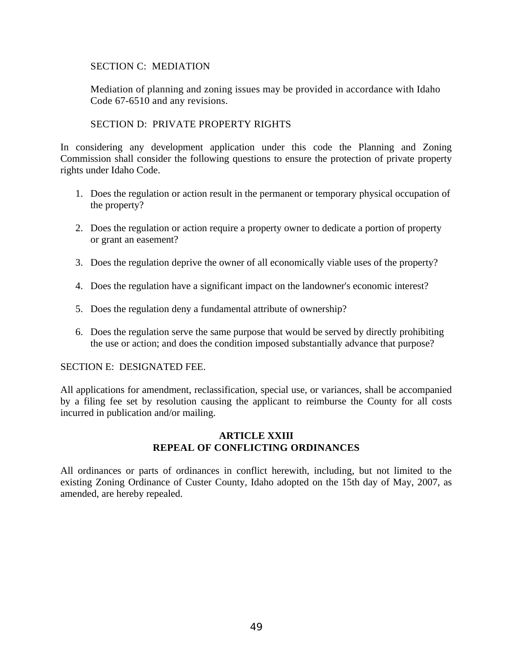### SECTION C: MEDIATION

Mediation of planning and zoning issues may be provided in accordance with Idaho Code 67-6510 and any revisions.

SECTION D: PRIVATE PROPERTY RIGHTS

In considering any development application under this code the Planning and Zoning Commission shall consider the following questions to ensure the protection of private property rights under Idaho Code.

- 1. Does the regulation or action result in the permanent or temporary physical occupation of the property?
- 2. Does the regulation or action require a property owner to dedicate a portion of property or grant an easement?
- 3. Does the regulation deprive the owner of all economically viable uses of the property?
- 4. Does the regulation have a significant impact on the landowner's economic interest?
- 5. Does the regulation deny a fundamental attribute of ownership?
- 6. Does the regulation serve the same purpose that would be served by directly prohibiting the use or action; and does the condition imposed substantially advance that purpose?

#### SECTION E: DESIGNATED FEE.

All applications for amendment, reclassification, special use, or variances, shall be accompanied by a filing fee set by resolution causing the applicant to reimburse the County for all costs incurred in publication and/or mailing.

### **ARTICLE XXIII REPEAL OF CONFLICTING ORDINANCES**

All ordinances or parts of ordinances in conflict herewith, including, but not limited to the existing Zoning Ordinance of Custer County, Idaho adopted on the 15th day of May, 2007, as amended, are hereby repealed.